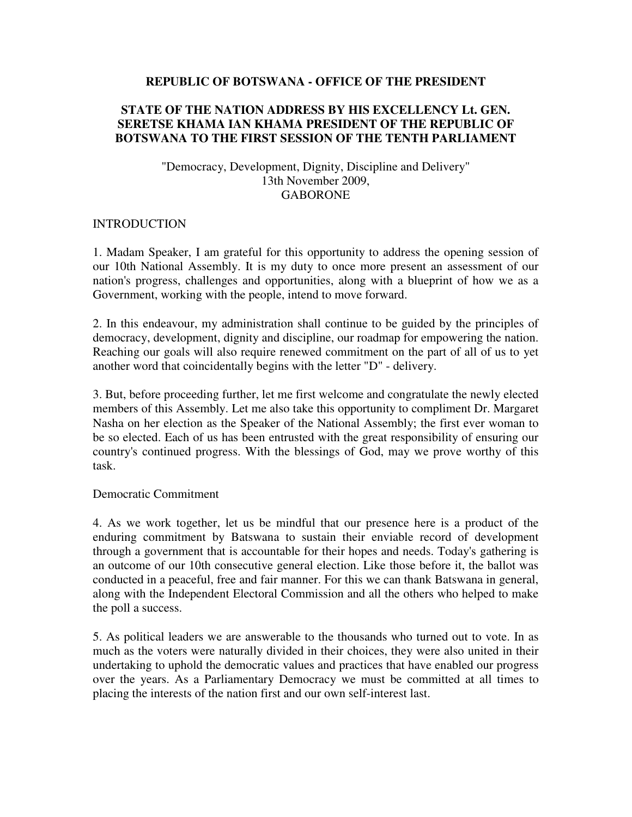#### **REPUBLIC OF BOTSWANA - OFFICE OF THE PRESIDENT**

### **STATE OF THE NATION ADDRESS BY HIS EXCELLENCY Lt. GEN. SERETSE KHAMA IAN KHAMA PRESIDENT OF THE REPUBLIC OF BOTSWANA TO THE FIRST SESSION OF THE TENTH PARLIAMENT**

### "Democracy, Development, Dignity, Discipline and Delivery" 13th November 2009, GABORONE

#### **INTRODUCTION**

1. Madam Speaker, I am grateful for this opportunity to address the opening session of our 10th National Assembly. It is my duty to once more present an assessment of our nation's progress, challenges and opportunities, along with a blueprint of how we as a Government, working with the people, intend to move forward.

2. In this endeavour, my administration shall continue to be guided by the principles of democracy, development, dignity and discipline, our roadmap for empowering the nation. Reaching our goals will also require renewed commitment on the part of all of us to yet another word that coincidentally begins with the letter "D" - delivery.

3. But, before proceeding further, let me first welcome and congratulate the newly elected members of this Assembly. Let me also take this opportunity to compliment Dr. Margaret Nasha on her election as the Speaker of the National Assembly; the first ever woman to be so elected. Each of us has been entrusted with the great responsibility of ensuring our country's continued progress. With the blessings of God, may we prove worthy of this task.

#### Democratic Commitment

4. As we work together, let us be mindful that our presence here is a product of the enduring commitment by Batswana to sustain their enviable record of development through a government that is accountable for their hopes and needs. Today's gathering is an outcome of our 10th consecutive general election. Like those before it, the ballot was conducted in a peaceful, free and fair manner. For this we can thank Batswana in general, along with the Independent Electoral Commission and all the others who helped to make the poll a success.

5. As political leaders we are answerable to the thousands who turned out to vote. In as much as the voters were naturally divided in their choices, they were also united in their undertaking to uphold the democratic values and practices that have enabled our progress over the years. As a Parliamentary Democracy we must be committed at all times to placing the interests of the nation first and our own self-interest last.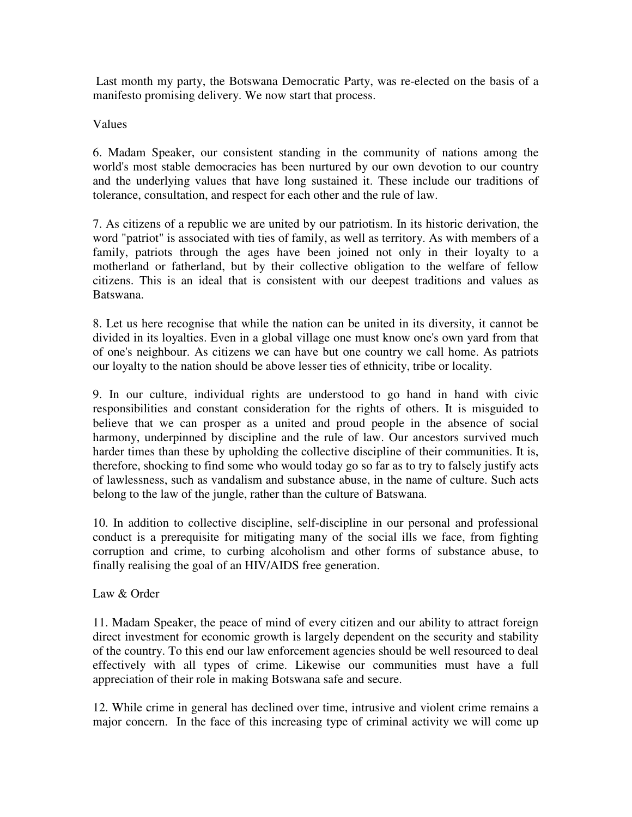Last month my party, the Botswana Democratic Party, was re-elected on the basis of a manifesto promising delivery. We now start that process.

### Values

6. Madam Speaker, our consistent standing in the community of nations among the world's most stable democracies has been nurtured by our own devotion to our country and the underlying values that have long sustained it. These include our traditions of tolerance, consultation, and respect for each other and the rule of law.

7. As citizens of a republic we are united by our patriotism. In its historic derivation, the word "patriot" is associated with ties of family, as well as territory. As with members of a family, patriots through the ages have been joined not only in their loyalty to a motherland or fatherland, but by their collective obligation to the welfare of fellow citizens. This is an ideal that is consistent with our deepest traditions and values as Batswana.

8. Let us here recognise that while the nation can be united in its diversity, it cannot be divided in its loyalties. Even in a global village one must know one's own yard from that of one's neighbour. As citizens we can have but one country we call home. As patriots our loyalty to the nation should be above lesser ties of ethnicity, tribe or locality.

9. In our culture, individual rights are understood to go hand in hand with civic responsibilities and constant consideration for the rights of others. It is misguided to believe that we can prosper as a united and proud people in the absence of social harmony, underpinned by discipline and the rule of law. Our ancestors survived much harder times than these by upholding the collective discipline of their communities. It is, therefore, shocking to find some who would today go so far as to try to falsely justify acts of lawlessness, such as vandalism and substance abuse, in the name of culture. Such acts belong to the law of the jungle, rather than the culture of Batswana.

10. In addition to collective discipline, self-discipline in our personal and professional conduct is a prerequisite for mitigating many of the social ills we face, from fighting corruption and crime, to curbing alcoholism and other forms of substance abuse, to finally realising the goal of an HIV/AIDS free generation.

Law & Order

11. Madam Speaker, the peace of mind of every citizen and our ability to attract foreign direct investment for economic growth is largely dependent on the security and stability of the country. To this end our law enforcement agencies should be well resourced to deal effectively with all types of crime. Likewise our communities must have a full appreciation of their role in making Botswana safe and secure.

12. While crime in general has declined over time, intrusive and violent crime remains a major concern. In the face of this increasing type of criminal activity we will come up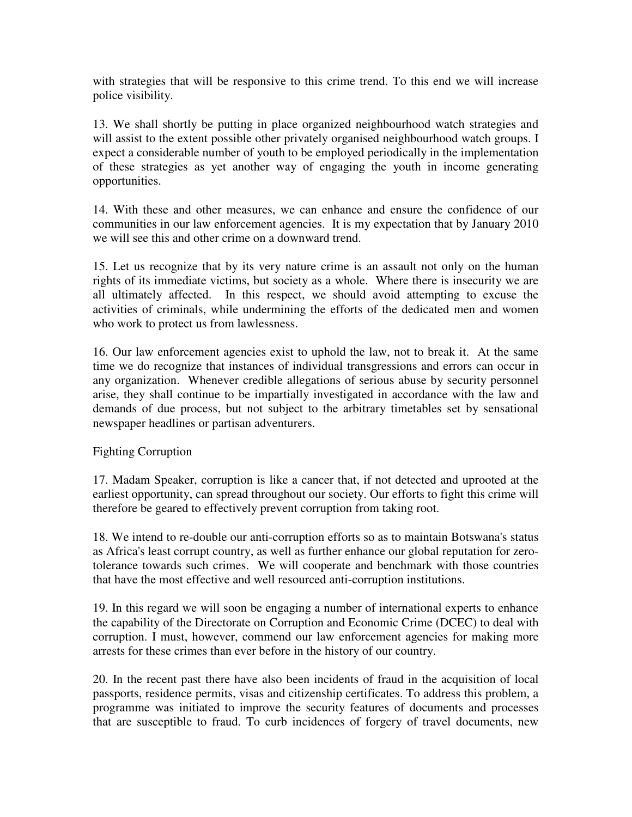with strategies that will be responsive to this crime trend. To this end we will increase police visibility.

13. We shall shortly be putting in place organized neighbourhood watch strategies and will assist to the extent possible other privately organised neighbourhood watch groups. I expect a considerable number of youth to be employed periodically in the implementation of these strategies as yet another way of engaging the youth in income generating opportunities.

14. With these and other measures, we can enhance and ensure the confidence of our communities in our law enforcement agencies. It is my expectation that by January 2010 we will see this and other crime on a downward trend.

15. Let us recognize that by its very nature crime is an assault not only on the human rights of its immediate victims, but society as a whole. Where there is insecurity we are all ultimately affected. In this respect, we should avoid attempting to excuse the activities of criminals, while undermining the efforts of the dedicated men and women who work to protect us from lawlessness.

16. Our law enforcement agencies exist to uphold the law, not to break it. At the same time we do recognize that instances of individual transgressions and errors can occur in any organization. Whenever credible allegations of serious abuse by security personnel arise, they shall continue to be impartially investigated in accordance with the law and demands of due process, but not subject to the arbitrary timetables set by sensational newspaper headlines or partisan adventurers.

### Fighting Corruption

17. Madam Speaker, corruption is like a cancer that, if not detected and uprooted at the earliest opportunity, can spread throughout our society. Our efforts to fight this crime will therefore be geared to effectively prevent corruption from taking root.

18. We intend to re-double our anti-corruption efforts so as to maintain Botswana's status as Africa's least corrupt country, as well as further enhance our global reputation for zerotolerance towards such crimes. We will cooperate and benchmark with those countries that have the most effective and well resourced anti-corruption institutions.

19. In this regard we will soon be engaging a number of international experts to enhance the capability of the Directorate on Corruption and Economic Crime (DCEC) to deal with corruption. I must, however, commend our law enforcement agencies for making more arrests for these crimes than ever before in the history of our country.

20. In the recent past there have also been incidents of fraud in the acquisition of local passports, residence permits, visas and citizenship certificates. To address this problem, a programme was initiated to improve the security features of documents and processes that are susceptible to fraud. To curb incidences of forgery of travel documents, new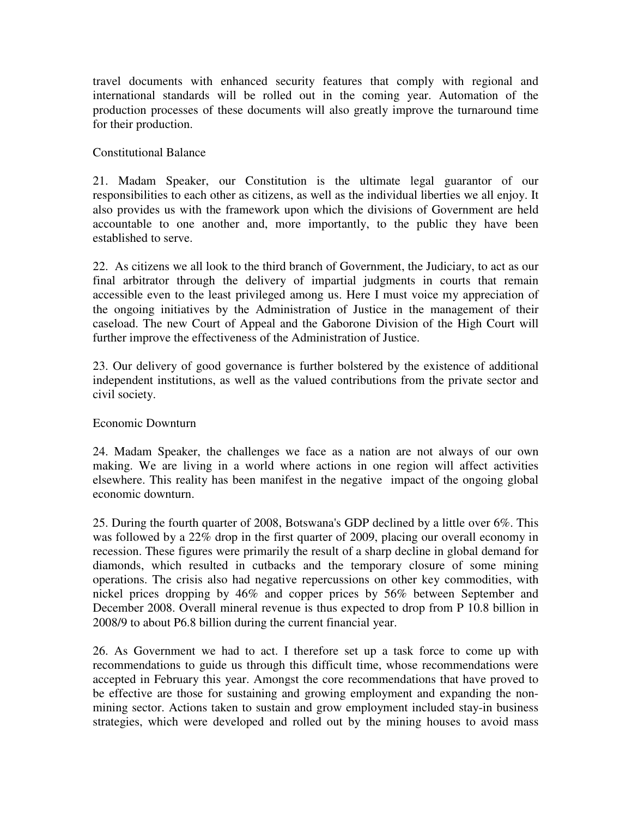travel documents with enhanced security features that comply with regional and international standards will be rolled out in the coming year. Automation of the production processes of these documents will also greatly improve the turnaround time for their production.

### Constitutional Balance

21. Madam Speaker, our Constitution is the ultimate legal guarantor of our responsibilities to each other as citizens, as well as the individual liberties we all enjoy. It also provides us with the framework upon which the divisions of Government are held accountable to one another and, more importantly, to the public they have been established to serve.

22. As citizens we all look to the third branch of Government, the Judiciary, to act as our final arbitrator through the delivery of impartial judgments in courts that remain accessible even to the least privileged among us. Here I must voice my appreciation of the ongoing initiatives by the Administration of Justice in the management of their caseload. The new Court of Appeal and the Gaborone Division of the High Court will further improve the effectiveness of the Administration of Justice.

23. Our delivery of good governance is further bolstered by the existence of additional independent institutions, as well as the valued contributions from the private sector and civil society.

### Economic Downturn

24. Madam Speaker, the challenges we face as a nation are not always of our own making. We are living in a world where actions in one region will affect activities elsewhere. This reality has been manifest in the negative impact of the ongoing global economic downturn.

25. During the fourth quarter of 2008, Botswana's GDP declined by a little over 6%. This was followed by a 22% drop in the first quarter of 2009, placing our overall economy in recession. These figures were primarily the result of a sharp decline in global demand for diamonds, which resulted in cutbacks and the temporary closure of some mining operations. The crisis also had negative repercussions on other key commodities, with nickel prices dropping by 46% and copper prices by 56% between September and December 2008. Overall mineral revenue is thus expected to drop from P 10.8 billion in 2008/9 to about P6.8 billion during the current financial year.

26. As Government we had to act. I therefore set up a task force to come up with recommendations to guide us through this difficult time, whose recommendations were accepted in February this year. Amongst the core recommendations that have proved to be effective are those for sustaining and growing employment and expanding the nonmining sector. Actions taken to sustain and grow employment included stay-in business strategies, which were developed and rolled out by the mining houses to avoid mass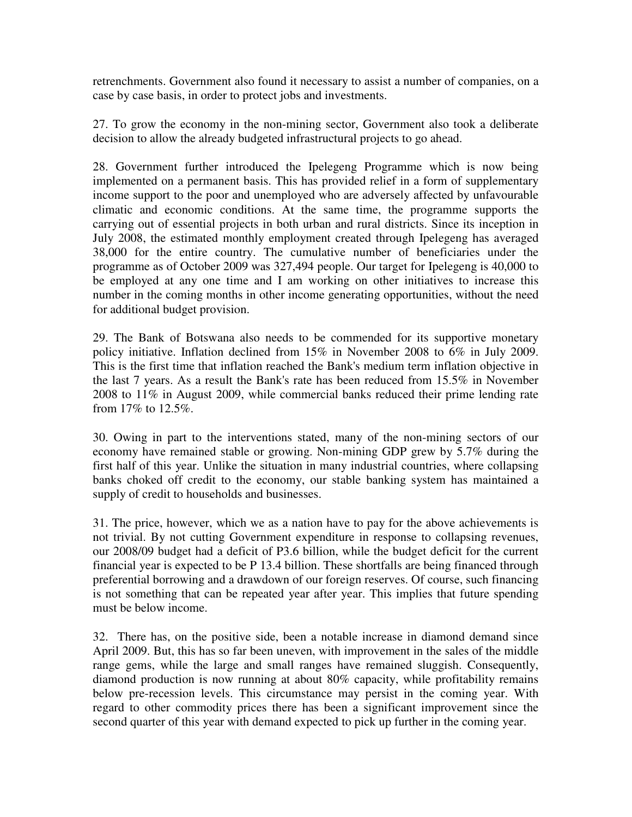retrenchments. Government also found it necessary to assist a number of companies, on a case by case basis, in order to protect jobs and investments.

27. To grow the economy in the non-mining sector, Government also took a deliberate decision to allow the already budgeted infrastructural projects to go ahead.

28. Government further introduced the Ipelegeng Programme which is now being implemented on a permanent basis. This has provided relief in a form of supplementary income support to the poor and unemployed who are adversely affected by unfavourable climatic and economic conditions. At the same time, the programme supports the carrying out of essential projects in both urban and rural districts. Since its inception in July 2008, the estimated monthly employment created through Ipelegeng has averaged 38,000 for the entire country. The cumulative number of beneficiaries under the programme as of October 2009 was 327,494 people. Our target for Ipelegeng is 40,000 to be employed at any one time and I am working on other initiatives to increase this number in the coming months in other income generating opportunities, without the need for additional budget provision.

29. The Bank of Botswana also needs to be commended for its supportive monetary policy initiative. Inflation declined from 15% in November 2008 to 6% in July 2009. This is the first time that inflation reached the Bank's medium term inflation objective in the last 7 years. As a result the Bank's rate has been reduced from 15.5% in November 2008 to 11% in August 2009, while commercial banks reduced their prime lending rate from 17% to 12.5%.

30. Owing in part to the interventions stated, many of the non-mining sectors of our economy have remained stable or growing. Non-mining GDP grew by 5.7% during the first half of this year. Unlike the situation in many industrial countries, where collapsing banks choked off credit to the economy, our stable banking system has maintained a supply of credit to households and businesses.

31. The price, however, which we as a nation have to pay for the above achievements is not trivial. By not cutting Government expenditure in response to collapsing revenues, our 2008/09 budget had a deficit of P3.6 billion, while the budget deficit for the current financial year is expected to be P 13.4 billion. These shortfalls are being financed through preferential borrowing and a drawdown of our foreign reserves. Of course, such financing is not something that can be repeated year after year. This implies that future spending must be below income.

32. There has, on the positive side, been a notable increase in diamond demand since April 2009. But, this has so far been uneven, with improvement in the sales of the middle range gems, while the large and small ranges have remained sluggish. Consequently, diamond production is now running at about 80% capacity, while profitability remains below pre-recession levels. This circumstance may persist in the coming year. With regard to other commodity prices there has been a significant improvement since the second quarter of this year with demand expected to pick up further in the coming year.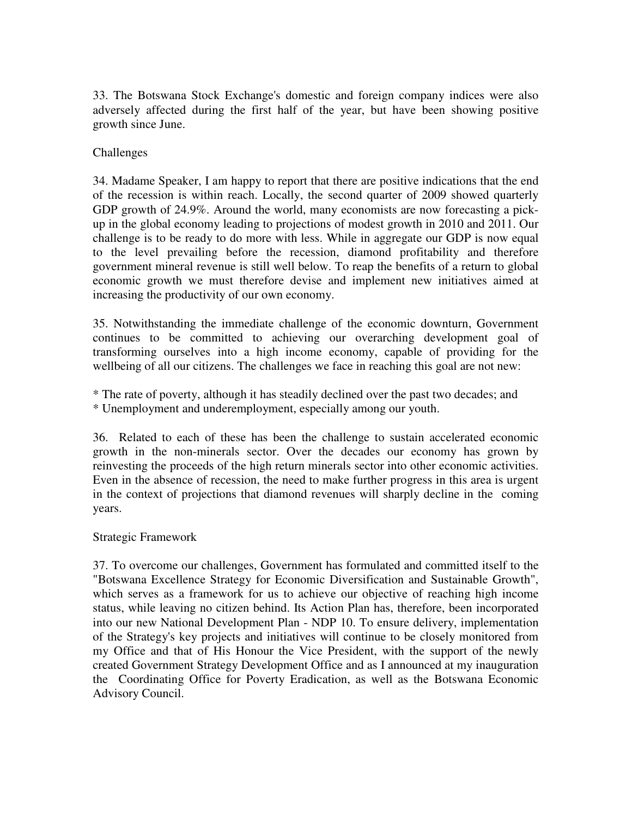33. The Botswana Stock Exchange's domestic and foreign company indices were also adversely affected during the first half of the year, but have been showing positive growth since June.

### Challenges

34. Madame Speaker, I am happy to report that there are positive indications that the end of the recession is within reach. Locally, the second quarter of 2009 showed quarterly GDP growth of 24.9%. Around the world, many economists are now forecasting a pickup in the global economy leading to projections of modest growth in 2010 and 2011. Our challenge is to be ready to do more with less. While in aggregate our GDP is now equal to the level prevailing before the recession, diamond profitability and therefore government mineral revenue is still well below. To reap the benefits of a return to global economic growth we must therefore devise and implement new initiatives aimed at increasing the productivity of our own economy.

35. Notwithstanding the immediate challenge of the economic downturn, Government continues to be committed to achieving our overarching development goal of transforming ourselves into a high income economy, capable of providing for the wellbeing of all our citizens. The challenges we face in reaching this goal are not new:

\* The rate of poverty, although it has steadily declined over the past two decades; and \* Unemployment and underemployment, especially among our youth.

36. Related to each of these has been the challenge to sustain accelerated economic growth in the non-minerals sector. Over the decades our economy has grown by reinvesting the proceeds of the high return minerals sector into other economic activities. Even in the absence of recession, the need to make further progress in this area is urgent in the context of projections that diamond revenues will sharply decline in the coming years.

### Strategic Framework

37. To overcome our challenges, Government has formulated and committed itself to the "Botswana Excellence Strategy for Economic Diversification and Sustainable Growth", which serves as a framework for us to achieve our objective of reaching high income status, while leaving no citizen behind. Its Action Plan has, therefore, been incorporated into our new National Development Plan - NDP 10. To ensure delivery, implementation of the Strategy's key projects and initiatives will continue to be closely monitored from my Office and that of His Honour the Vice President, with the support of the newly created Government Strategy Development Office and as I announced at my inauguration the Coordinating Office for Poverty Eradication, as well as the Botswana Economic Advisory Council.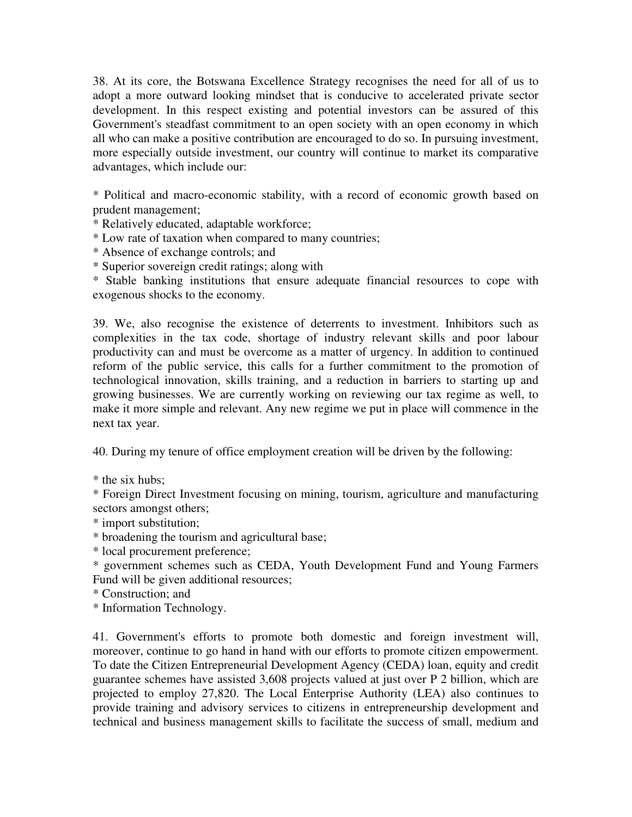38. At its core, the Botswana Excellence Strategy recognises the need for all of us to adopt a more outward looking mindset that is conducive to accelerated private sector development. In this respect existing and potential investors can be assured of this Government's steadfast commitment to an open society with an open economy in which all who can make a positive contribution are encouraged to do so. In pursuing investment, more especially outside investment, our country will continue to market its comparative advantages, which include our:

\* Political and macro-economic stability, with a record of economic growth based on prudent management;

\* Relatively educated, adaptable workforce;

\* Low rate of taxation when compared to many countries;

\* Absence of exchange controls; and

\* Superior sovereign credit ratings; along with

\* Stable banking institutions that ensure adequate financial resources to cope with exogenous shocks to the economy.

39. We, also recognise the existence of deterrents to investment. Inhibitors such as complexities in the tax code, shortage of industry relevant skills and poor labour productivity can and must be overcome as a matter of urgency. In addition to continued reform of the public service, this calls for a further commitment to the promotion of technological innovation, skills training, and a reduction in barriers to starting up and growing businesses. We are currently working on reviewing our tax regime as well, to make it more simple and relevant. Any new regime we put in place will commence in the next tax year.

40. During my tenure of office employment creation will be driven by the following:

\* the six hubs;

\* Foreign Direct Investment focusing on mining, tourism, agriculture and manufacturing sectors amongst others;

\* import substitution;

\* broadening the tourism and agricultural base;

\* local procurement preference;

\* government schemes such as CEDA, Youth Development Fund and Young Farmers Fund will be given additional resources;

\* Construction; and

\* Information Technology.

41. Government's efforts to promote both domestic and foreign investment will, moreover, continue to go hand in hand with our efforts to promote citizen empowerment. To date the Citizen Entrepreneurial Development Agency (CEDA) loan, equity and credit guarantee schemes have assisted 3,608 projects valued at just over P 2 billion, which are projected to employ 27,820. The Local Enterprise Authority (LEA) also continues to provide training and advisory services to citizens in entrepreneurship development and technical and business management skills to facilitate the success of small, medium and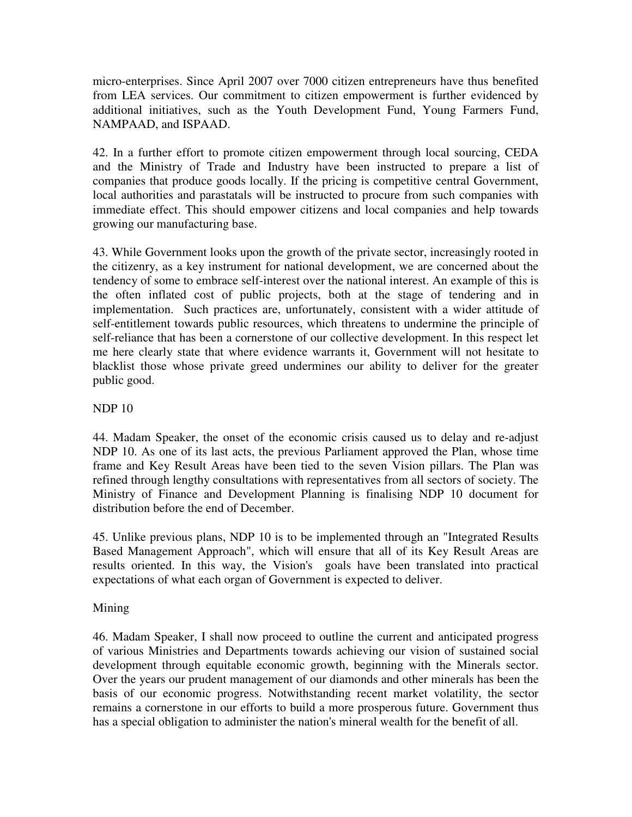micro-enterprises. Since April 2007 over 7000 citizen entrepreneurs have thus benefited from LEA services. Our commitment to citizen empowerment is further evidenced by additional initiatives, such as the Youth Development Fund, Young Farmers Fund, NAMPAAD, and ISPAAD.

42. In a further effort to promote citizen empowerment through local sourcing, CEDA and the Ministry of Trade and Industry have been instructed to prepare a list of companies that produce goods locally. If the pricing is competitive central Government, local authorities and parastatals will be instructed to procure from such companies with immediate effect. This should empower citizens and local companies and help towards growing our manufacturing base.

43. While Government looks upon the growth of the private sector, increasingly rooted in the citizenry, as a key instrument for national development, we are concerned about the tendency of some to embrace self-interest over the national interest. An example of this is the often inflated cost of public projects, both at the stage of tendering and in implementation. Such practices are, unfortunately, consistent with a wider attitude of self-entitlement towards public resources, which threatens to undermine the principle of self-reliance that has been a cornerstone of our collective development. In this respect let me here clearly state that where evidence warrants it, Government will not hesitate to blacklist those whose private greed undermines our ability to deliver for the greater public good.

## NDP 10

44. Madam Speaker, the onset of the economic crisis caused us to delay and re-adjust NDP 10. As one of its last acts, the previous Parliament approved the Plan, whose time frame and Key Result Areas have been tied to the seven Vision pillars. The Plan was refined through lengthy consultations with representatives from all sectors of society. The Ministry of Finance and Development Planning is finalising NDP 10 document for distribution before the end of December.

45. Unlike previous plans, NDP 10 is to be implemented through an "Integrated Results Based Management Approach", which will ensure that all of its Key Result Areas are results oriented. In this way, the Vision's goals have been translated into practical expectations of what each organ of Government is expected to deliver.

# Mining

46. Madam Speaker, I shall now proceed to outline the current and anticipated progress of various Ministries and Departments towards achieving our vision of sustained social development through equitable economic growth, beginning with the Minerals sector. Over the years our prudent management of our diamonds and other minerals has been the basis of our economic progress. Notwithstanding recent market volatility, the sector remains a cornerstone in our efforts to build a more prosperous future. Government thus has a special obligation to administer the nation's mineral wealth for the benefit of all.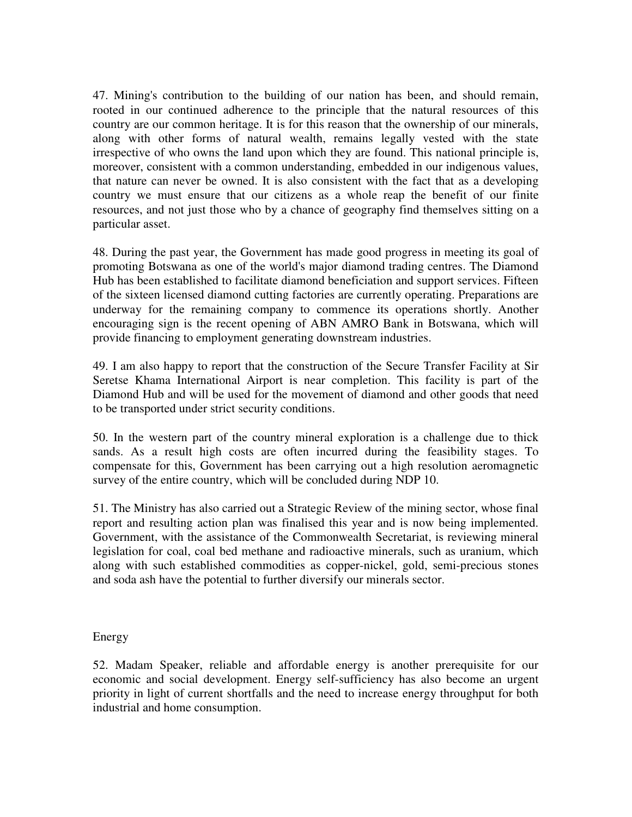47. Mining's contribution to the building of our nation has been, and should remain, rooted in our continued adherence to the principle that the natural resources of this country are our common heritage. It is for this reason that the ownership of our minerals, along with other forms of natural wealth, remains legally vested with the state irrespective of who owns the land upon which they are found. This national principle is, moreover, consistent with a common understanding, embedded in our indigenous values, that nature can never be owned. It is also consistent with the fact that as a developing country we must ensure that our citizens as a whole reap the benefit of our finite resources, and not just those who by a chance of geography find themselves sitting on a particular asset.

48. During the past year, the Government has made good progress in meeting its goal of promoting Botswana as one of the world's major diamond trading centres. The Diamond Hub has been established to facilitate diamond beneficiation and support services. Fifteen of the sixteen licensed diamond cutting factories are currently operating. Preparations are underway for the remaining company to commence its operations shortly. Another encouraging sign is the recent opening of ABN AMRO Bank in Botswana, which will provide financing to employment generating downstream industries.

49. I am also happy to report that the construction of the Secure Transfer Facility at Sir Seretse Khama International Airport is near completion. This facility is part of the Diamond Hub and will be used for the movement of diamond and other goods that need to be transported under strict security conditions.

50. In the western part of the country mineral exploration is a challenge due to thick sands. As a result high costs are often incurred during the feasibility stages. To compensate for this, Government has been carrying out a high resolution aeromagnetic survey of the entire country, which will be concluded during NDP 10.

51. The Ministry has also carried out a Strategic Review of the mining sector, whose final report and resulting action plan was finalised this year and is now being implemented. Government, with the assistance of the Commonwealth Secretariat, is reviewing mineral legislation for coal, coal bed methane and radioactive minerals, such as uranium, which along with such established commodities as copper-nickel, gold, semi-precious stones and soda ash have the potential to further diversify our minerals sector.

### Energy

52. Madam Speaker, reliable and affordable energy is another prerequisite for our economic and social development. Energy self-sufficiency has also become an urgent priority in light of current shortfalls and the need to increase energy throughput for both industrial and home consumption.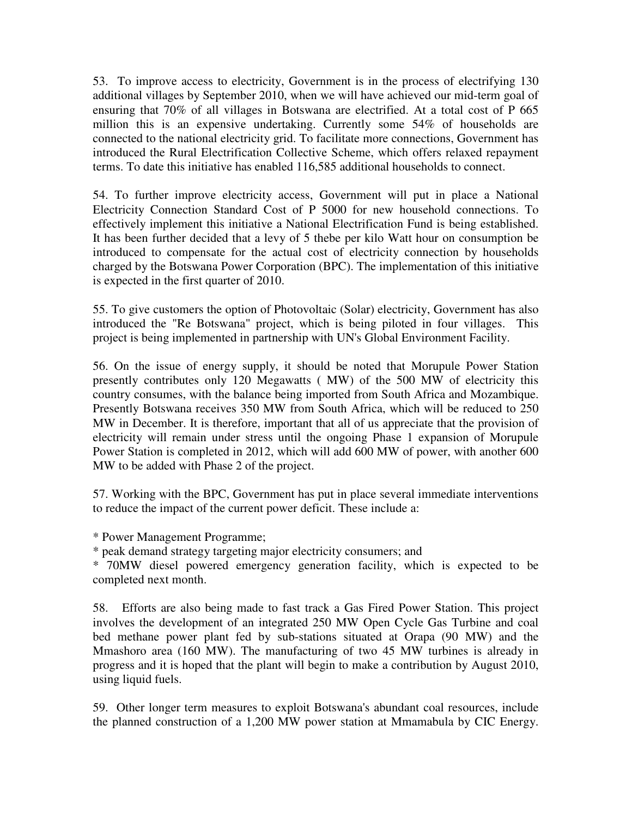53. To improve access to electricity, Government is in the process of electrifying 130 additional villages by September 2010, when we will have achieved our mid-term goal of ensuring that 70% of all villages in Botswana are electrified. At a total cost of P 665 million this is an expensive undertaking. Currently some 54% of households are connected to the national electricity grid. To facilitate more connections, Government has introduced the Rural Electrification Collective Scheme, which offers relaxed repayment terms. To date this initiative has enabled 116,585 additional households to connect.

54. To further improve electricity access, Government will put in place a National Electricity Connection Standard Cost of P 5000 for new household connections. To effectively implement this initiative a National Electrification Fund is being established. It has been further decided that a levy of 5 thebe per kilo Watt hour on consumption be introduced to compensate for the actual cost of electricity connection by households charged by the Botswana Power Corporation (BPC). The implementation of this initiative is expected in the first quarter of 2010.

55. To give customers the option of Photovoltaic (Solar) electricity, Government has also introduced the "Re Botswana" project, which is being piloted in four villages. This project is being implemented in partnership with UN's Global Environment Facility.

56. On the issue of energy supply, it should be noted that Morupule Power Station presently contributes only 120 Megawatts ( MW) of the 500 MW of electricity this country consumes, with the balance being imported from South Africa and Mozambique. Presently Botswana receives 350 MW from South Africa, which will be reduced to 250 MW in December. It is therefore, important that all of us appreciate that the provision of electricity will remain under stress until the ongoing Phase 1 expansion of Morupule Power Station is completed in 2012, which will add 600 MW of power, with another 600 MW to be added with Phase 2 of the project.

57. Working with the BPC, Government has put in place several immediate interventions to reduce the impact of the current power deficit. These include a:

\* Power Management Programme;

\* peak demand strategy targeting major electricity consumers; and

\* 70MW diesel powered emergency generation facility, which is expected to be completed next month.

58. Efforts are also being made to fast track a Gas Fired Power Station. This project involves the development of an integrated 250 MW Open Cycle Gas Turbine and coal bed methane power plant fed by sub-stations situated at Orapa (90 MW) and the Mmashoro area (160 MW). The manufacturing of two 45 MW turbines is already in progress and it is hoped that the plant will begin to make a contribution by August 2010, using liquid fuels.

59. Other longer term measures to exploit Botswana's abundant coal resources, include the planned construction of a 1,200 MW power station at Mmamabula by CIC Energy.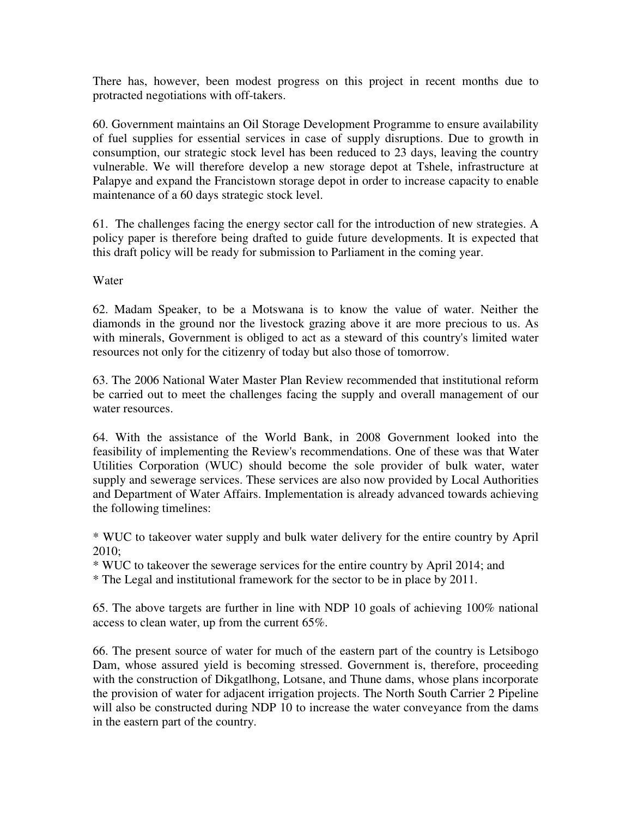There has, however, been modest progress on this project in recent months due to protracted negotiations with off-takers.

60. Government maintains an Oil Storage Development Programme to ensure availability of fuel supplies for essential services in case of supply disruptions. Due to growth in consumption, our strategic stock level has been reduced to 23 days, leaving the country vulnerable. We will therefore develop a new storage depot at Tshele, infrastructure at Palapye and expand the Francistown storage depot in order to increase capacity to enable maintenance of a 60 days strategic stock level.

61. The challenges facing the energy sector call for the introduction of new strategies. A policy paper is therefore being drafted to guide future developments. It is expected that this draft policy will be ready for submission to Parliament in the coming year.

Water

62. Madam Speaker, to be a Motswana is to know the value of water. Neither the diamonds in the ground nor the livestock grazing above it are more precious to us. As with minerals, Government is obliged to act as a steward of this country's limited water resources not only for the citizenry of today but also those of tomorrow.

63. The 2006 National Water Master Plan Review recommended that institutional reform be carried out to meet the challenges facing the supply and overall management of our water resources.

64. With the assistance of the World Bank, in 2008 Government looked into the feasibility of implementing the Review's recommendations. One of these was that Water Utilities Corporation (WUC) should become the sole provider of bulk water, water supply and sewerage services. These services are also now provided by Local Authorities and Department of Water Affairs. Implementation is already advanced towards achieving the following timelines:

\* WUC to takeover water supply and bulk water delivery for the entire country by April 2010;

\* WUC to takeover the sewerage services for the entire country by April 2014; and

\* The Legal and institutional framework for the sector to be in place by 2011.

65. The above targets are further in line with NDP 10 goals of achieving 100% national access to clean water, up from the current 65%.

66. The present source of water for much of the eastern part of the country is Letsibogo Dam, whose assured yield is becoming stressed. Government is, therefore, proceeding with the construction of Dikgatlhong, Lotsane, and Thune dams, whose plans incorporate the provision of water for adjacent irrigation projects. The North South Carrier 2 Pipeline will also be constructed during NDP 10 to increase the water conveyance from the dams in the eastern part of the country.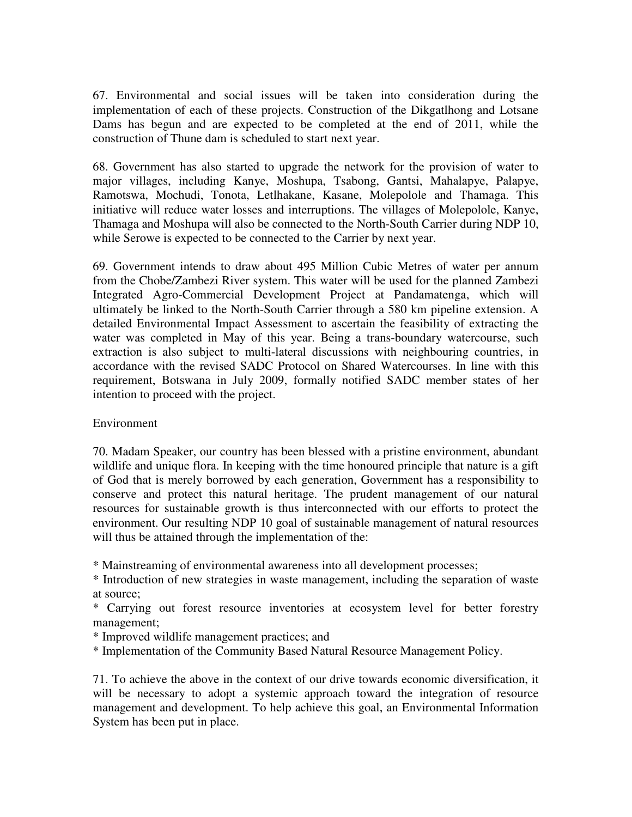67. Environmental and social issues will be taken into consideration during the implementation of each of these projects. Construction of the Dikgatlhong and Lotsane Dams has begun and are expected to be completed at the end of 2011, while the construction of Thune dam is scheduled to start next year.

68. Government has also started to upgrade the network for the provision of water to major villages, including Kanye, Moshupa, Tsabong, Gantsi, Mahalapye, Palapye, Ramotswa, Mochudi, Tonota, Letlhakane, Kasane, Molepolole and Thamaga. This initiative will reduce water losses and interruptions. The villages of Molepolole, Kanye, Thamaga and Moshupa will also be connected to the North-South Carrier during NDP 10, while Serowe is expected to be connected to the Carrier by next year.

69. Government intends to draw about 495 Million Cubic Metres of water per annum from the Chobe/Zambezi River system. This water will be used for the planned Zambezi Integrated Agro-Commercial Development Project at Pandamatenga, which will ultimately be linked to the North-South Carrier through a 580 km pipeline extension. A detailed Environmental Impact Assessment to ascertain the feasibility of extracting the water was completed in May of this year. Being a trans-boundary watercourse, such extraction is also subject to multi-lateral discussions with neighbouring countries, in accordance with the revised SADC Protocol on Shared Watercourses. In line with this requirement, Botswana in July 2009, formally notified SADC member states of her intention to proceed with the project.

### Environment

70. Madam Speaker, our country has been blessed with a pristine environment, abundant wildlife and unique flora. In keeping with the time honoured principle that nature is a gift of God that is merely borrowed by each generation, Government has a responsibility to conserve and protect this natural heritage. The prudent management of our natural resources for sustainable growth is thus interconnected with our efforts to protect the environment. Our resulting NDP 10 goal of sustainable management of natural resources will thus be attained through the implementation of the:

\* Mainstreaming of environmental awareness into all development processes;

\* Introduction of new strategies in waste management, including the separation of waste at source;

\* Carrying out forest resource inventories at ecosystem level for better forestry management;

\* Improved wildlife management practices; and

\* Implementation of the Community Based Natural Resource Management Policy.

71. To achieve the above in the context of our drive towards economic diversification, it will be necessary to adopt a systemic approach toward the integration of resource management and development. To help achieve this goal, an Environmental Information System has been put in place.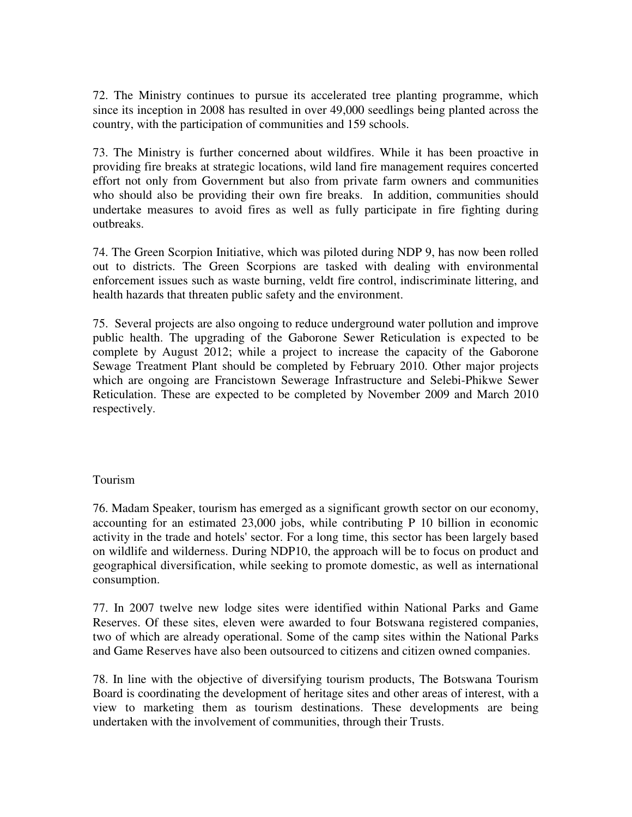72. The Ministry continues to pursue its accelerated tree planting programme, which since its inception in 2008 has resulted in over 49,000 seedlings being planted across the country, with the participation of communities and 159 schools.

73. The Ministry is further concerned about wildfires. While it has been proactive in providing fire breaks at strategic locations, wild land fire management requires concerted effort not only from Government but also from private farm owners and communities who should also be providing their own fire breaks. In addition, communities should undertake measures to avoid fires as well as fully participate in fire fighting during outbreaks.

74. The Green Scorpion Initiative, which was piloted during NDP 9, has now been rolled out to districts. The Green Scorpions are tasked with dealing with environmental enforcement issues such as waste burning, veldt fire control, indiscriminate littering, and health hazards that threaten public safety and the environment.

75. Several projects are also ongoing to reduce underground water pollution and improve public health. The upgrading of the Gaborone Sewer Reticulation is expected to be complete by August 2012; while a project to increase the capacity of the Gaborone Sewage Treatment Plant should be completed by February 2010. Other major projects which are ongoing are Francistown Sewerage Infrastructure and Selebi-Phikwe Sewer Reticulation. These are expected to be completed by November 2009 and March 2010 respectively.

### Tourism

76. Madam Speaker, tourism has emerged as a significant growth sector on our economy, accounting for an estimated 23,000 jobs, while contributing P 10 billion in economic activity in the trade and hotels' sector. For a long time, this sector has been largely based on wildlife and wilderness. During NDP10, the approach will be to focus on product and geographical diversification, while seeking to promote domestic, as well as international consumption.

77. In 2007 twelve new lodge sites were identified within National Parks and Game Reserves. Of these sites, eleven were awarded to four Botswana registered companies, two of which are already operational. Some of the camp sites within the National Parks and Game Reserves have also been outsourced to citizens and citizen owned companies.

78. In line with the objective of diversifying tourism products, The Botswana Tourism Board is coordinating the development of heritage sites and other areas of interest, with a view to marketing them as tourism destinations. These developments are being undertaken with the involvement of communities, through their Trusts.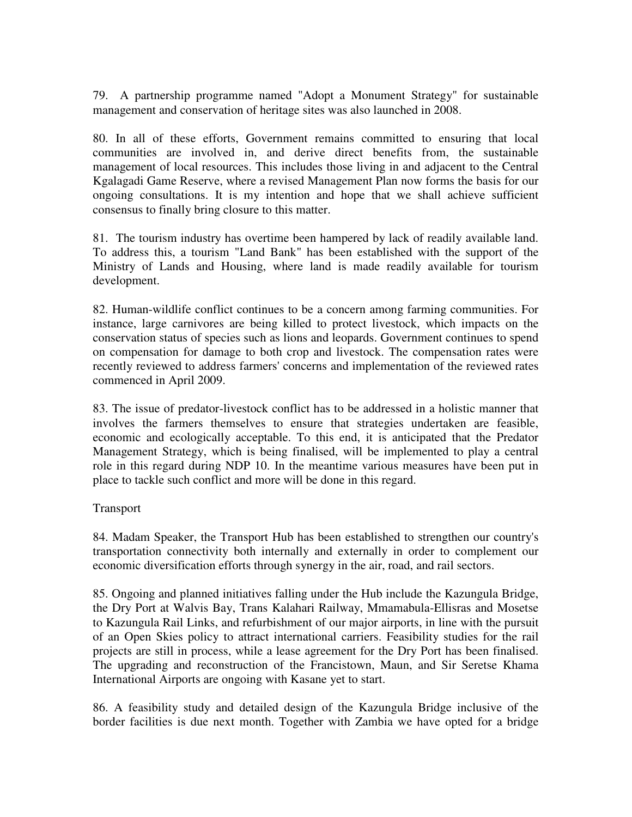79. A partnership programme named "Adopt a Monument Strategy" for sustainable management and conservation of heritage sites was also launched in 2008.

80. In all of these efforts, Government remains committed to ensuring that local communities are involved in, and derive direct benefits from, the sustainable management of local resources. This includes those living in and adjacent to the Central Kgalagadi Game Reserve, where a revised Management Plan now forms the basis for our ongoing consultations. It is my intention and hope that we shall achieve sufficient consensus to finally bring closure to this matter.

81. The tourism industry has overtime been hampered by lack of readily available land. To address this, a tourism "Land Bank" has been established with the support of the Ministry of Lands and Housing, where land is made readily available for tourism development.

82. Human-wildlife conflict continues to be a concern among farming communities. For instance, large carnivores are being killed to protect livestock, which impacts on the conservation status of species such as lions and leopards. Government continues to spend on compensation for damage to both crop and livestock. The compensation rates were recently reviewed to address farmers' concerns and implementation of the reviewed rates commenced in April 2009.

83. The issue of predator-livestock conflict has to be addressed in a holistic manner that involves the farmers themselves to ensure that strategies undertaken are feasible, economic and ecologically acceptable. To this end, it is anticipated that the Predator Management Strategy, which is being finalised, will be implemented to play a central role in this regard during NDP 10. In the meantime various measures have been put in place to tackle such conflict and more will be done in this regard.

### Transport

84. Madam Speaker, the Transport Hub has been established to strengthen our country's transportation connectivity both internally and externally in order to complement our economic diversification efforts through synergy in the air, road, and rail sectors.

85. Ongoing and planned initiatives falling under the Hub include the Kazungula Bridge, the Dry Port at Walvis Bay, Trans Kalahari Railway, Mmamabula-Ellisras and Mosetse to Kazungula Rail Links, and refurbishment of our major airports, in line with the pursuit of an Open Skies policy to attract international carriers. Feasibility studies for the rail projects are still in process, while a lease agreement for the Dry Port has been finalised. The upgrading and reconstruction of the Francistown, Maun, and Sir Seretse Khama International Airports are ongoing with Kasane yet to start.

86. A feasibility study and detailed design of the Kazungula Bridge inclusive of the border facilities is due next month. Together with Zambia we have opted for a bridge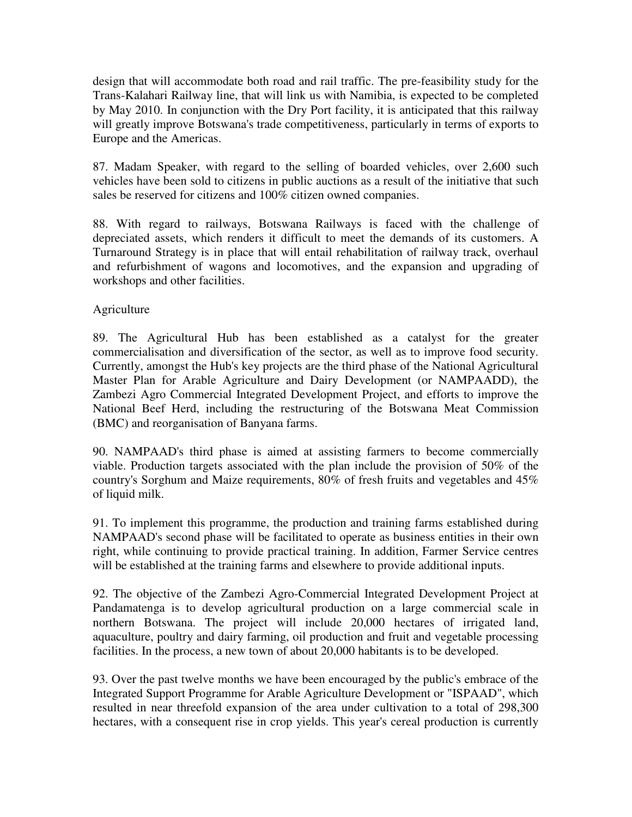design that will accommodate both road and rail traffic. The pre-feasibility study for the Trans-Kalahari Railway line, that will link us with Namibia, is expected to be completed by May 2010. In conjunction with the Dry Port facility, it is anticipated that this railway will greatly improve Botswana's trade competitiveness, particularly in terms of exports to Europe and the Americas.

87. Madam Speaker, with regard to the selling of boarded vehicles, over 2,600 such vehicles have been sold to citizens in public auctions as a result of the initiative that such sales be reserved for citizens and 100% citizen owned companies.

88. With regard to railways, Botswana Railways is faced with the challenge of depreciated assets, which renders it difficult to meet the demands of its customers. A Turnaround Strategy is in place that will entail rehabilitation of railway track, overhaul and refurbishment of wagons and locomotives, and the expansion and upgrading of workshops and other facilities.

### Agriculture

89. The Agricultural Hub has been established as a catalyst for the greater commercialisation and diversification of the sector, as well as to improve food security. Currently, amongst the Hub's key projects are the third phase of the National Agricultural Master Plan for Arable Agriculture and Dairy Development (or NAMPAADD), the Zambezi Agro Commercial Integrated Development Project, and efforts to improve the National Beef Herd, including the restructuring of the Botswana Meat Commission (BMC) and reorganisation of Banyana farms.

90. NAMPAAD's third phase is aimed at assisting farmers to become commercially viable. Production targets associated with the plan include the provision of 50% of the country's Sorghum and Maize requirements, 80% of fresh fruits and vegetables and 45% of liquid milk.

91. To implement this programme, the production and training farms established during NAMPAAD's second phase will be facilitated to operate as business entities in their own right, while continuing to provide practical training. In addition, Farmer Service centres will be established at the training farms and elsewhere to provide additional inputs.

92. The objective of the Zambezi Agro-Commercial Integrated Development Project at Pandamatenga is to develop agricultural production on a large commercial scale in northern Botswana. The project will include 20,000 hectares of irrigated land, aquaculture, poultry and dairy farming, oil production and fruit and vegetable processing facilities. In the process, a new town of about 20,000 habitants is to be developed.

93. Over the past twelve months we have been encouraged by the public's embrace of the Integrated Support Programme for Arable Agriculture Development or "ISPAAD", which resulted in near threefold expansion of the area under cultivation to a total of 298,300 hectares, with a consequent rise in crop yields. This year's cereal production is currently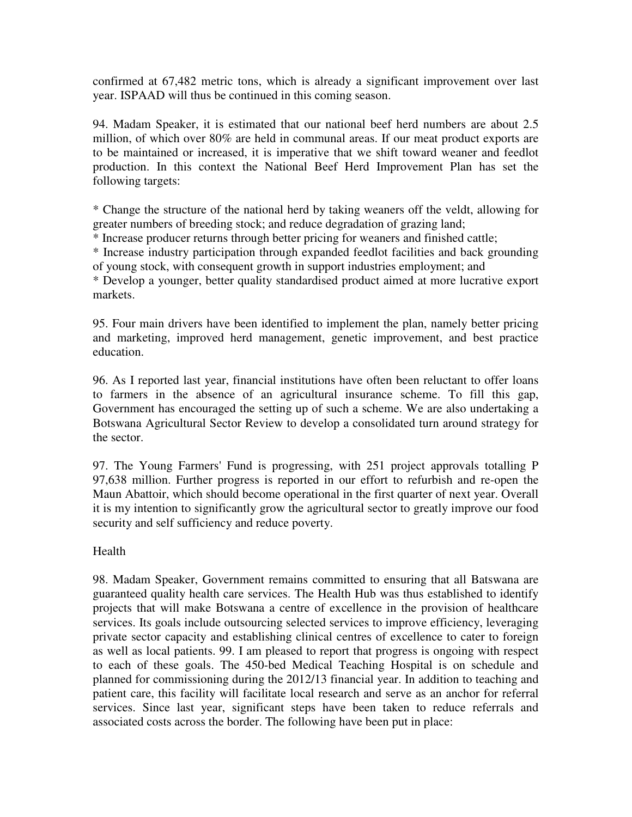confirmed at 67,482 metric tons, which is already a significant improvement over last year. ISPAAD will thus be continued in this coming season.

94. Madam Speaker, it is estimated that our national beef herd numbers are about 2.5 million, of which over 80% are held in communal areas. If our meat product exports are to be maintained or increased, it is imperative that we shift toward weaner and feedlot production. In this context the National Beef Herd Improvement Plan has set the following targets:

\* Change the structure of the national herd by taking weaners off the veldt, allowing for greater numbers of breeding stock; and reduce degradation of grazing land;

\* Increase producer returns through better pricing for weaners and finished cattle;

\* Increase industry participation through expanded feedlot facilities and back grounding of young stock, with consequent growth in support industries employment; and

\* Develop a younger, better quality standardised product aimed at more lucrative export markets.

95. Four main drivers have been identified to implement the plan, namely better pricing and marketing, improved herd management, genetic improvement, and best practice education.

96. As I reported last year, financial institutions have often been reluctant to offer loans to farmers in the absence of an agricultural insurance scheme. To fill this gap, Government has encouraged the setting up of such a scheme. We are also undertaking a Botswana Agricultural Sector Review to develop a consolidated turn around strategy for the sector.

97. The Young Farmers' Fund is progressing, with 251 project approvals totalling P 97,638 million. Further progress is reported in our effort to refurbish and re-open the Maun Abattoir, which should become operational in the first quarter of next year. Overall it is my intention to significantly grow the agricultural sector to greatly improve our food security and self sufficiency and reduce poverty.

# Health

98. Madam Speaker, Government remains committed to ensuring that all Batswana are guaranteed quality health care services. The Health Hub was thus established to identify projects that will make Botswana a centre of excellence in the provision of healthcare services. Its goals include outsourcing selected services to improve efficiency, leveraging private sector capacity and establishing clinical centres of excellence to cater to foreign as well as local patients. 99. I am pleased to report that progress is ongoing with respect to each of these goals. The 450-bed Medical Teaching Hospital is on schedule and planned for commissioning during the 2012/13 financial year. In addition to teaching and patient care, this facility will facilitate local research and serve as an anchor for referral services. Since last year, significant steps have been taken to reduce referrals and associated costs across the border. The following have been put in place: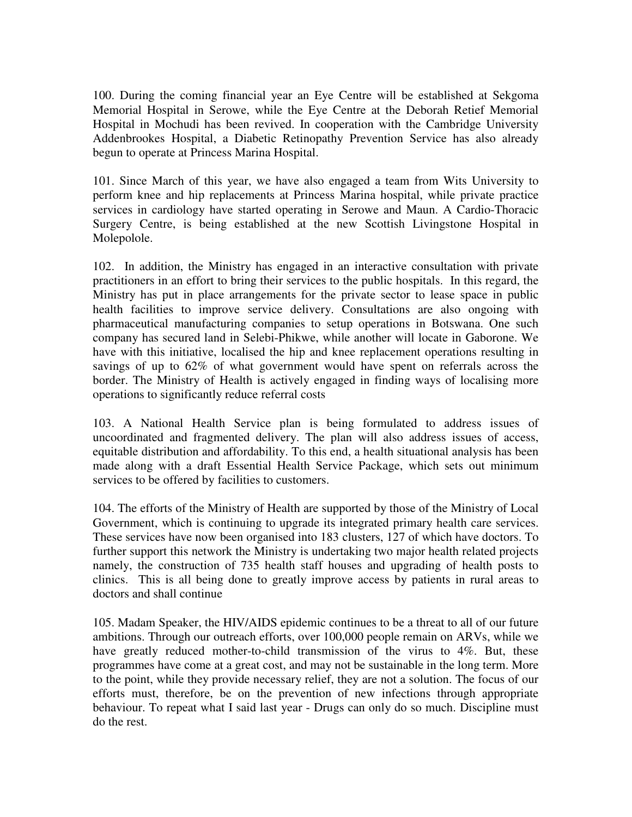100. During the coming financial year an Eye Centre will be established at Sekgoma Memorial Hospital in Serowe, while the Eye Centre at the Deborah Retief Memorial Hospital in Mochudi has been revived. In cooperation with the Cambridge University Addenbrookes Hospital, a Diabetic Retinopathy Prevention Service has also already begun to operate at Princess Marina Hospital.

101. Since March of this year, we have also engaged a team from Wits University to perform knee and hip replacements at Princess Marina hospital, while private practice services in cardiology have started operating in Serowe and Maun. A Cardio-Thoracic Surgery Centre, is being established at the new Scottish Livingstone Hospital in Molepolole.

102. In addition, the Ministry has engaged in an interactive consultation with private practitioners in an effort to bring their services to the public hospitals. In this regard, the Ministry has put in place arrangements for the private sector to lease space in public health facilities to improve service delivery. Consultations are also ongoing with pharmaceutical manufacturing companies to setup operations in Botswana. One such company has secured land in Selebi-Phikwe, while another will locate in Gaborone. We have with this initiative, localised the hip and knee replacement operations resulting in savings of up to 62% of what government would have spent on referrals across the border. The Ministry of Health is actively engaged in finding ways of localising more operations to significantly reduce referral costs

103. A National Health Service plan is being formulated to address issues of uncoordinated and fragmented delivery. The plan will also address issues of access, equitable distribution and affordability. To this end, a health situational analysis has been made along with a draft Essential Health Service Package, which sets out minimum services to be offered by facilities to customers.

104. The efforts of the Ministry of Health are supported by those of the Ministry of Local Government, which is continuing to upgrade its integrated primary health care services. These services have now been organised into 183 clusters, 127 of which have doctors. To further support this network the Ministry is undertaking two major health related projects namely, the construction of 735 health staff houses and upgrading of health posts to clinics. This is all being done to greatly improve access by patients in rural areas to doctors and shall continue

105. Madam Speaker, the HIV/AIDS epidemic continues to be a threat to all of our future ambitions. Through our outreach efforts, over 100,000 people remain on ARVs, while we have greatly reduced mother-to-child transmission of the virus to 4%. But, these programmes have come at a great cost, and may not be sustainable in the long term. More to the point, while they provide necessary relief, they are not a solution. The focus of our efforts must, therefore, be on the prevention of new infections through appropriate behaviour. To repeat what I said last year - Drugs can only do so much. Discipline must do the rest.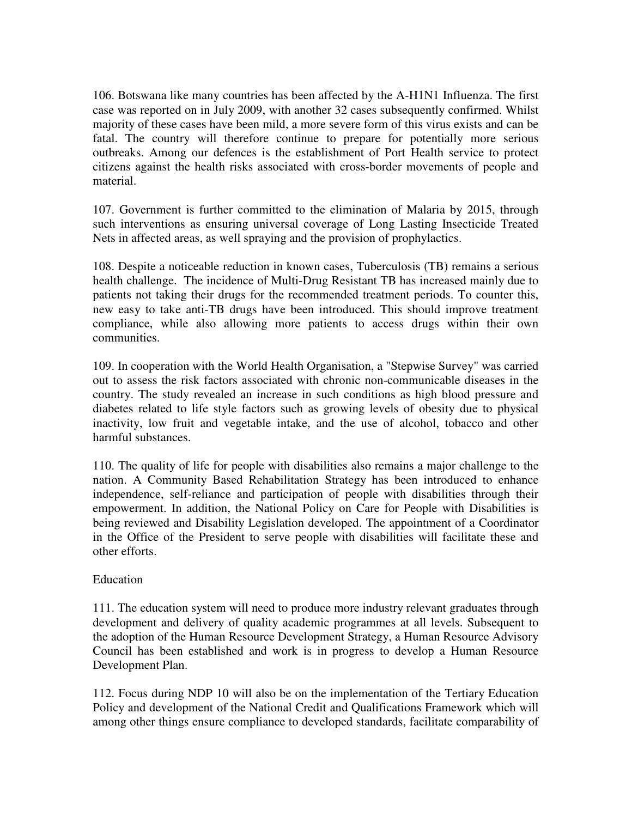106. Botswana like many countries has been affected by the A-H1N1 Influenza. The first case was reported on in July 2009, with another 32 cases subsequently confirmed. Whilst majority of these cases have been mild, a more severe form of this virus exists and can be fatal. The country will therefore continue to prepare for potentially more serious outbreaks. Among our defences is the establishment of Port Health service to protect citizens against the health risks associated with cross-border movements of people and material.

107. Government is further committed to the elimination of Malaria by 2015, through such interventions as ensuring universal coverage of Long Lasting Insecticide Treated Nets in affected areas, as well spraying and the provision of prophylactics.

108. Despite a noticeable reduction in known cases, Tuberculosis (TB) remains a serious health challenge. The incidence of Multi-Drug Resistant TB has increased mainly due to patients not taking their drugs for the recommended treatment periods. To counter this, new easy to take anti-TB drugs have been introduced. This should improve treatment compliance, while also allowing more patients to access drugs within their own communities.

109. In cooperation with the World Health Organisation, a "Stepwise Survey" was carried out to assess the risk factors associated with chronic non-communicable diseases in the country. The study revealed an increase in such conditions as high blood pressure and diabetes related to life style factors such as growing levels of obesity due to physical inactivity, low fruit and vegetable intake, and the use of alcohol, tobacco and other harmful substances.

110. The quality of life for people with disabilities also remains a major challenge to the nation. A Community Based Rehabilitation Strategy has been introduced to enhance independence, self-reliance and participation of people with disabilities through their empowerment. In addition, the National Policy on Care for People with Disabilities is being reviewed and Disability Legislation developed. The appointment of a Coordinator in the Office of the President to serve people with disabilities will facilitate these and other efforts.

### Education

111. The education system will need to produce more industry relevant graduates through development and delivery of quality academic programmes at all levels. Subsequent to the adoption of the Human Resource Development Strategy, a Human Resource Advisory Council has been established and work is in progress to develop a Human Resource Development Plan.

112. Focus during NDP 10 will also be on the implementation of the Tertiary Education Policy and development of the National Credit and Qualifications Framework which will among other things ensure compliance to developed standards, facilitate comparability of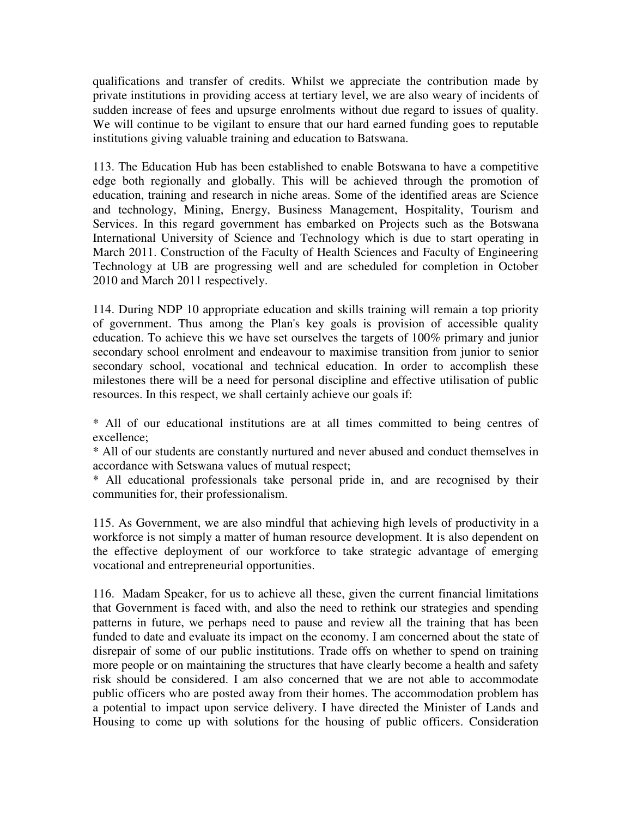qualifications and transfer of credits. Whilst we appreciate the contribution made by private institutions in providing access at tertiary level, we are also weary of incidents of sudden increase of fees and upsurge enrolments without due regard to issues of quality. We will continue to be vigilant to ensure that our hard earned funding goes to reputable institutions giving valuable training and education to Batswana.

113. The Education Hub has been established to enable Botswana to have a competitive edge both regionally and globally. This will be achieved through the promotion of education, training and research in niche areas. Some of the identified areas are Science and technology, Mining, Energy, Business Management, Hospitality, Tourism and Services. In this regard government has embarked on Projects such as the Botswana International University of Science and Technology which is due to start operating in March 2011. Construction of the Faculty of Health Sciences and Faculty of Engineering Technology at UB are progressing well and are scheduled for completion in October 2010 and March 2011 respectively.

114. During NDP 10 appropriate education and skills training will remain a top priority of government. Thus among the Plan's key goals is provision of accessible quality education. To achieve this we have set ourselves the targets of 100% primary and junior secondary school enrolment and endeavour to maximise transition from junior to senior secondary school, vocational and technical education. In order to accomplish these milestones there will be a need for personal discipline and effective utilisation of public resources. In this respect, we shall certainly achieve our goals if:

\* All of our educational institutions are at all times committed to being centres of excellence;

\* All of our students are constantly nurtured and never abused and conduct themselves in accordance with Setswana values of mutual respect;

\* All educational professionals take personal pride in, and are recognised by their communities for, their professionalism.

115. As Government, we are also mindful that achieving high levels of productivity in a workforce is not simply a matter of human resource development. It is also dependent on the effective deployment of our workforce to take strategic advantage of emerging vocational and entrepreneurial opportunities.

116. Madam Speaker, for us to achieve all these, given the current financial limitations that Government is faced with, and also the need to rethink our strategies and spending patterns in future, we perhaps need to pause and review all the training that has been funded to date and evaluate its impact on the economy. I am concerned about the state of disrepair of some of our public institutions. Trade offs on whether to spend on training more people or on maintaining the structures that have clearly become a health and safety risk should be considered. I am also concerned that we are not able to accommodate public officers who are posted away from their homes. The accommodation problem has a potential to impact upon service delivery. I have directed the Minister of Lands and Housing to come up with solutions for the housing of public officers. Consideration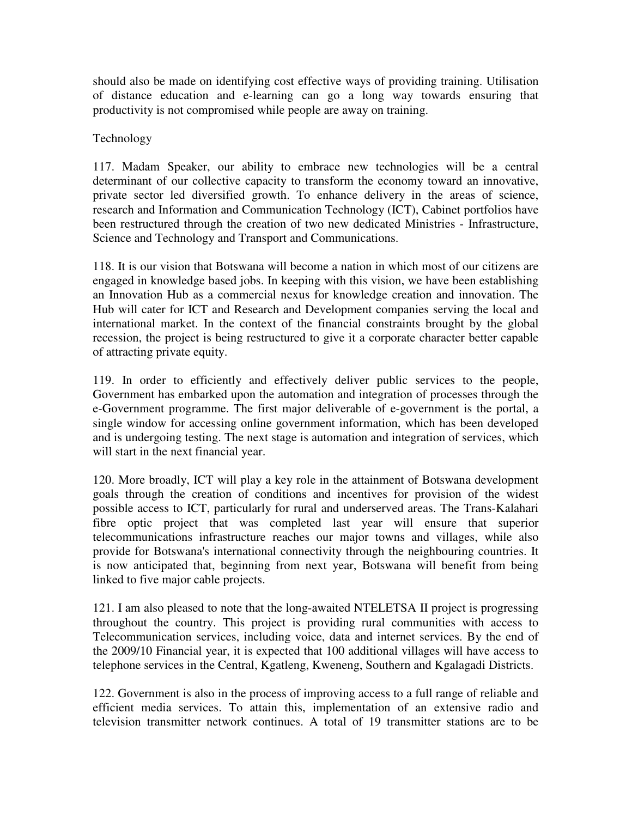should also be made on identifying cost effective ways of providing training. Utilisation of distance education and e-learning can go a long way towards ensuring that productivity is not compromised while people are away on training.

## Technology

117. Madam Speaker, our ability to embrace new technologies will be a central determinant of our collective capacity to transform the economy toward an innovative, private sector led diversified growth. To enhance delivery in the areas of science, research and Information and Communication Technology (ICT), Cabinet portfolios have been restructured through the creation of two new dedicated Ministries - Infrastructure, Science and Technology and Transport and Communications.

118. It is our vision that Botswana will become a nation in which most of our citizens are engaged in knowledge based jobs. In keeping with this vision, we have been establishing an Innovation Hub as a commercial nexus for knowledge creation and innovation. The Hub will cater for ICT and Research and Development companies serving the local and international market. In the context of the financial constraints brought by the global recession, the project is being restructured to give it a corporate character better capable of attracting private equity.

119. In order to efficiently and effectively deliver public services to the people, Government has embarked upon the automation and integration of processes through the e-Government programme. The first major deliverable of e-government is the portal, a single window for accessing online government information, which has been developed and is undergoing testing. The next stage is automation and integration of services, which will start in the next financial year.

120. More broadly, ICT will play a key role in the attainment of Botswana development goals through the creation of conditions and incentives for provision of the widest possible access to ICT, particularly for rural and underserved areas. The Trans-Kalahari fibre optic project that was completed last year will ensure that superior telecommunications infrastructure reaches our major towns and villages, while also provide for Botswana's international connectivity through the neighbouring countries. It is now anticipated that, beginning from next year, Botswana will benefit from being linked to five major cable projects.

121. I am also pleased to note that the long-awaited NTELETSA II project is progressing throughout the country. This project is providing rural communities with access to Telecommunication services, including voice, data and internet services. By the end of the 2009/10 Financial year, it is expected that 100 additional villages will have access to telephone services in the Central, Kgatleng, Kweneng, Southern and Kgalagadi Districts.

122. Government is also in the process of improving access to a full range of reliable and efficient media services. To attain this, implementation of an extensive radio and television transmitter network continues. A total of 19 transmitter stations are to be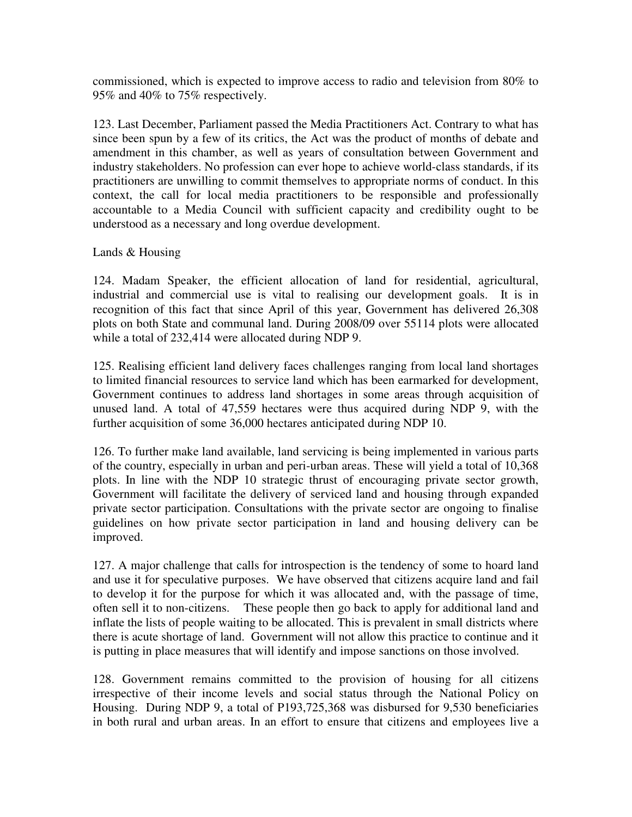commissioned, which is expected to improve access to radio and television from 80% to 95% and 40% to 75% respectively.

123. Last December, Parliament passed the Media Practitioners Act. Contrary to what has since been spun by a few of its critics, the Act was the product of months of debate and amendment in this chamber, as well as years of consultation between Government and industry stakeholders. No profession can ever hope to achieve world-class standards, if its practitioners are unwilling to commit themselves to appropriate norms of conduct. In this context, the call for local media practitioners to be responsible and professionally accountable to a Media Council with sufficient capacity and credibility ought to be understood as a necessary and long overdue development.

### Lands & Housing

124. Madam Speaker, the efficient allocation of land for residential, agricultural, industrial and commercial use is vital to realising our development goals. It is in recognition of this fact that since April of this year, Government has delivered 26,308 plots on both State and communal land. During 2008/09 over 55114 plots were allocated while a total of 232,414 were allocated during NDP 9.

125. Realising efficient land delivery faces challenges ranging from local land shortages to limited financial resources to service land which has been earmarked for development, Government continues to address land shortages in some areas through acquisition of unused land. A total of 47,559 hectares were thus acquired during NDP 9, with the further acquisition of some 36,000 hectares anticipated during NDP 10.

126. To further make land available, land servicing is being implemented in various parts of the country, especially in urban and peri-urban areas. These will yield a total of 10,368 plots. In line with the NDP 10 strategic thrust of encouraging private sector growth, Government will facilitate the delivery of serviced land and housing through expanded private sector participation. Consultations with the private sector are ongoing to finalise guidelines on how private sector participation in land and housing delivery can be improved.

127. A major challenge that calls for introspection is the tendency of some to hoard land and use it for speculative purposes. We have observed that citizens acquire land and fail to develop it for the purpose for which it was allocated and, with the passage of time, often sell it to non-citizens. These people then go back to apply for additional land and inflate the lists of people waiting to be allocated. This is prevalent in small districts where there is acute shortage of land. Government will not allow this practice to continue and it is putting in place measures that will identify and impose sanctions on those involved.

128. Government remains committed to the provision of housing for all citizens irrespective of their income levels and social status through the National Policy on Housing. During NDP 9, a total of P193,725,368 was disbursed for 9,530 beneficiaries in both rural and urban areas. In an effort to ensure that citizens and employees live a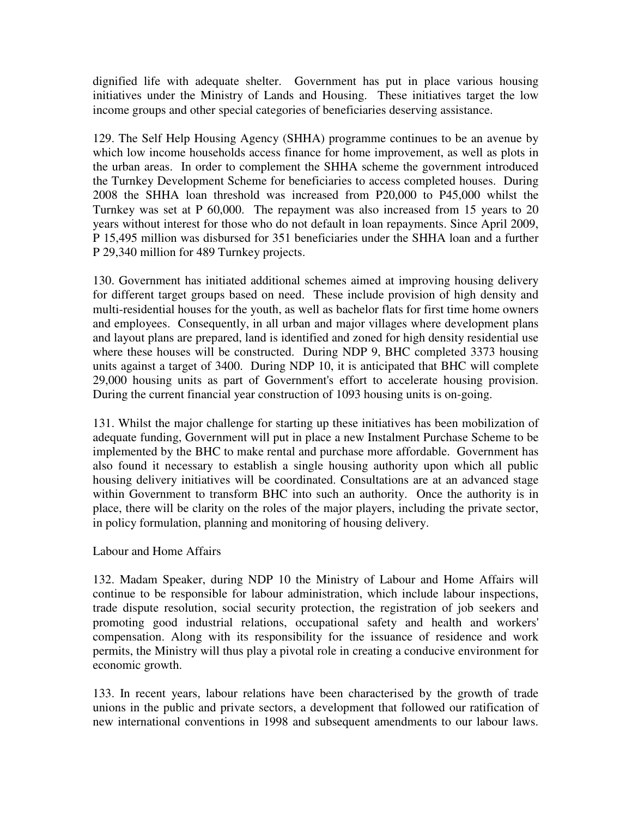dignified life with adequate shelter. Government has put in place various housing initiatives under the Ministry of Lands and Housing. These initiatives target the low income groups and other special categories of beneficiaries deserving assistance.

129. The Self Help Housing Agency (SHHA) programme continues to be an avenue by which low income households access finance for home improvement, as well as plots in the urban areas. In order to complement the SHHA scheme the government introduced the Turnkey Development Scheme for beneficiaries to access completed houses. During 2008 the SHHA loan threshold was increased from P20,000 to P45,000 whilst the Turnkey was set at P 60,000. The repayment was also increased from 15 years to 20 years without interest for those who do not default in loan repayments. Since April 2009, P 15,495 million was disbursed for 351 beneficiaries under the SHHA loan and a further P 29,340 million for 489 Turnkey projects.

130. Government has initiated additional schemes aimed at improving housing delivery for different target groups based on need. These include provision of high density and multi-residential houses for the youth, as well as bachelor flats for first time home owners and employees. Consequently, in all urban and major villages where development plans and layout plans are prepared, land is identified and zoned for high density residential use where these houses will be constructed. During NDP 9, BHC completed 3373 housing units against a target of 3400. During NDP 10, it is anticipated that BHC will complete 29,000 housing units as part of Government's effort to accelerate housing provision. During the current financial year construction of 1093 housing units is on-going.

131. Whilst the major challenge for starting up these initiatives has been mobilization of adequate funding, Government will put in place a new Instalment Purchase Scheme to be implemented by the BHC to make rental and purchase more affordable. Government has also found it necessary to establish a single housing authority upon which all public housing delivery initiatives will be coordinated. Consultations are at an advanced stage within Government to transform BHC into such an authority. Once the authority is in place, there will be clarity on the roles of the major players, including the private sector, in policy formulation, planning and monitoring of housing delivery.

### Labour and Home Affairs

132. Madam Speaker, during NDP 10 the Ministry of Labour and Home Affairs will continue to be responsible for labour administration, which include labour inspections, trade dispute resolution, social security protection, the registration of job seekers and promoting good industrial relations, occupational safety and health and workers' compensation. Along with its responsibility for the issuance of residence and work permits, the Ministry will thus play a pivotal role in creating a conducive environment for economic growth.

133. In recent years, labour relations have been characterised by the growth of trade unions in the public and private sectors, a development that followed our ratification of new international conventions in 1998 and subsequent amendments to our labour laws.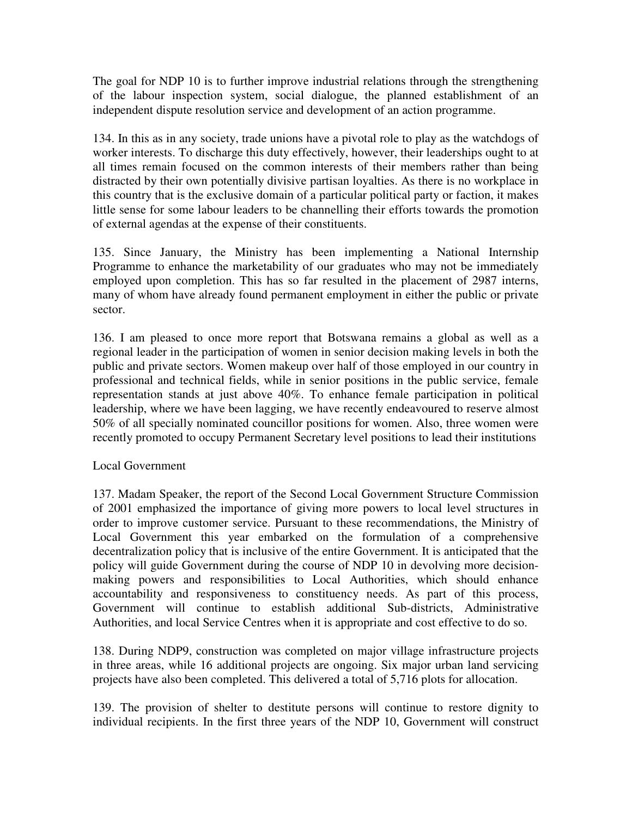The goal for NDP 10 is to further improve industrial relations through the strengthening of the labour inspection system, social dialogue, the planned establishment of an independent dispute resolution service and development of an action programme.

134. In this as in any society, trade unions have a pivotal role to play as the watchdogs of worker interests. To discharge this duty effectively, however, their leaderships ought to at all times remain focused on the common interests of their members rather than being distracted by their own potentially divisive partisan loyalties. As there is no workplace in this country that is the exclusive domain of a particular political party or faction, it makes little sense for some labour leaders to be channelling their efforts towards the promotion of external agendas at the expense of their constituents.

135. Since January, the Ministry has been implementing a National Internship Programme to enhance the marketability of our graduates who may not be immediately employed upon completion. This has so far resulted in the placement of 2987 interns, many of whom have already found permanent employment in either the public or private sector.

136. I am pleased to once more report that Botswana remains a global as well as a regional leader in the participation of women in senior decision making levels in both the public and private sectors. Women makeup over half of those employed in our country in professional and technical fields, while in senior positions in the public service, female representation stands at just above 40%. To enhance female participation in political leadership, where we have been lagging, we have recently endeavoured to reserve almost 50% of all specially nominated councillor positions for women. Also, three women were recently promoted to occupy Permanent Secretary level positions to lead their institutions

# Local Government

137. Madam Speaker, the report of the Second Local Government Structure Commission of 2001 emphasized the importance of giving more powers to local level structures in order to improve customer service. Pursuant to these recommendations, the Ministry of Local Government this year embarked on the formulation of a comprehensive decentralization policy that is inclusive of the entire Government. It is anticipated that the policy will guide Government during the course of NDP 10 in devolving more decisionmaking powers and responsibilities to Local Authorities, which should enhance accountability and responsiveness to constituency needs. As part of this process, Government will continue to establish additional Sub-districts, Administrative Authorities, and local Service Centres when it is appropriate and cost effective to do so.

138. During NDP9, construction was completed on major village infrastructure projects in three areas, while 16 additional projects are ongoing. Six major urban land servicing projects have also been completed. This delivered a total of 5,716 plots for allocation.

139. The provision of shelter to destitute persons will continue to restore dignity to individual recipients. In the first three years of the NDP 10, Government will construct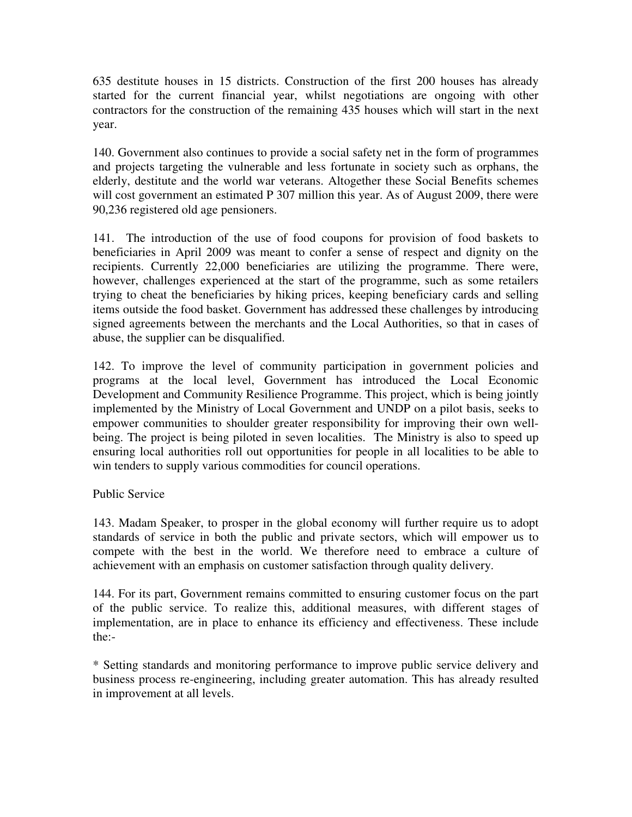635 destitute houses in 15 districts. Construction of the first 200 houses has already started for the current financial year, whilst negotiations are ongoing with other contractors for the construction of the remaining 435 houses which will start in the next year.

140. Government also continues to provide a social safety net in the form of programmes and projects targeting the vulnerable and less fortunate in society such as orphans, the elderly, destitute and the world war veterans. Altogether these Social Benefits schemes will cost government an estimated P 307 million this year. As of August 2009, there were 90,236 registered old age pensioners.

141. The introduction of the use of food coupons for provision of food baskets to beneficiaries in April 2009 was meant to confer a sense of respect and dignity on the recipients. Currently 22,000 beneficiaries are utilizing the programme. There were, however, challenges experienced at the start of the programme, such as some retailers trying to cheat the beneficiaries by hiking prices, keeping beneficiary cards and selling items outside the food basket. Government has addressed these challenges by introducing signed agreements between the merchants and the Local Authorities, so that in cases of abuse, the supplier can be disqualified.

142. To improve the level of community participation in government policies and programs at the local level, Government has introduced the Local Economic Development and Community Resilience Programme. This project, which is being jointly implemented by the Ministry of Local Government and UNDP on a pilot basis, seeks to empower communities to shoulder greater responsibility for improving their own wellbeing. The project is being piloted in seven localities. The Ministry is also to speed up ensuring local authorities roll out opportunities for people in all localities to be able to win tenders to supply various commodities for council operations.

# Public Service

143. Madam Speaker, to prosper in the global economy will further require us to adopt standards of service in both the public and private sectors, which will empower us to compete with the best in the world. We therefore need to embrace a culture of achievement with an emphasis on customer satisfaction through quality delivery.

144. For its part, Government remains committed to ensuring customer focus on the part of the public service. To realize this, additional measures, with different stages of implementation, are in place to enhance its efficiency and effectiveness. These include the:-

\* Setting standards and monitoring performance to improve public service delivery and business process re-engineering, including greater automation. This has already resulted in improvement at all levels.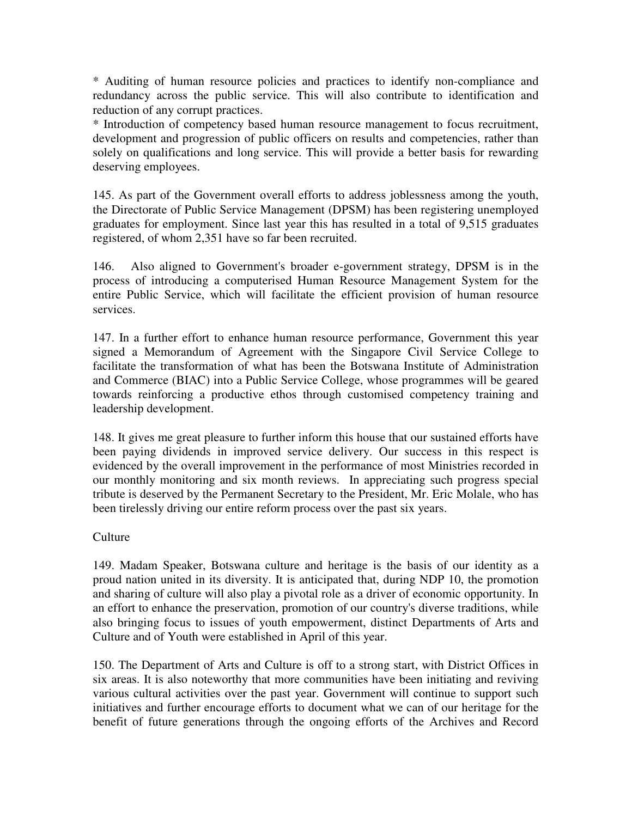\* Auditing of human resource policies and practices to identify non-compliance and redundancy across the public service. This will also contribute to identification and reduction of any corrupt practices.

\* Introduction of competency based human resource management to focus recruitment, development and progression of public officers on results and competencies, rather than solely on qualifications and long service. This will provide a better basis for rewarding deserving employees.

145. As part of the Government overall efforts to address joblessness among the youth, the Directorate of Public Service Management (DPSM) has been registering unemployed graduates for employment. Since last year this has resulted in a total of 9,515 graduates registered, of whom 2,351 have so far been recruited.

146. Also aligned to Government's broader e-government strategy, DPSM is in the process of introducing a computerised Human Resource Management System for the entire Public Service, which will facilitate the efficient provision of human resource services.

147. In a further effort to enhance human resource performance, Government this year signed a Memorandum of Agreement with the Singapore Civil Service College to facilitate the transformation of what has been the Botswana Institute of Administration and Commerce (BIAC) into a Public Service College, whose programmes will be geared towards reinforcing a productive ethos through customised competency training and leadership development.

148. It gives me great pleasure to further inform this house that our sustained efforts have been paying dividends in improved service delivery. Our success in this respect is evidenced by the overall improvement in the performance of most Ministries recorded in our monthly monitoring and six month reviews. In appreciating such progress special tribute is deserved by the Permanent Secretary to the President, Mr. Eric Molale, who has been tirelessly driving our entire reform process over the past six years.

# Culture

149. Madam Speaker, Botswana culture and heritage is the basis of our identity as a proud nation united in its diversity. It is anticipated that, during NDP 10, the promotion and sharing of culture will also play a pivotal role as a driver of economic opportunity. In an effort to enhance the preservation, promotion of our country's diverse traditions, while also bringing focus to issues of youth empowerment, distinct Departments of Arts and Culture and of Youth were established in April of this year.

150. The Department of Arts and Culture is off to a strong start, with District Offices in six areas. It is also noteworthy that more communities have been initiating and reviving various cultural activities over the past year. Government will continue to support such initiatives and further encourage efforts to document what we can of our heritage for the benefit of future generations through the ongoing efforts of the Archives and Record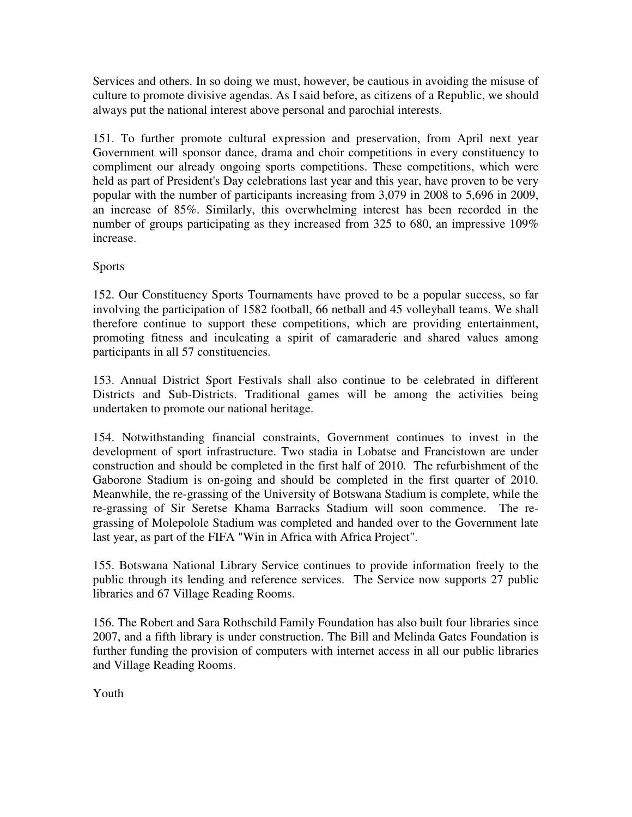Services and others. In so doing we must, however, be cautious in avoiding the misuse of culture to promote divisive agendas. As I said before, as citizens of a Republic, we should always put the national interest above personal and parochial interests.

151. To further promote cultural expression and preservation, from April next year Government will sponsor dance, drama and choir competitions in every constituency to compliment our already ongoing sports competitions. These competitions, which were held as part of President's Day celebrations last year and this year, have proven to be very popular with the number of participants increasing from 3,079 in 2008 to 5,696 in 2009, an increase of 85%. Similarly, this overwhelming interest has been recorded in the number of groups participating as they increased from 325 to 680, an impressive 109% increase.

# Sports

152. Our Constituency Sports Tournaments have proved to be a popular success, so far involving the participation of 1582 football, 66 netball and 45 volleyball teams. We shall therefore continue to support these competitions, which are providing entertainment, promoting fitness and inculcating a spirit of camaraderie and shared values among participants in all 57 constituencies.

153. Annual District Sport Festivals shall also continue to be celebrated in different Districts and Sub-Districts. Traditional games will be among the activities being undertaken to promote our national heritage.

154. Notwithstanding financial constraints, Government continues to invest in the development of sport infrastructure. Two stadia in Lobatse and Francistown are under construction and should be completed in the first half of 2010. The refurbishment of the Gaborone Stadium is on-going and should be completed in the first quarter of 2010. Meanwhile, the re-grassing of the University of Botswana Stadium is complete, while the re-grassing of Sir Seretse Khama Barracks Stadium will soon commence. The regrassing of Molepolole Stadium was completed and handed over to the Government late last year, as part of the FIFA "Win in Africa with Africa Project".

155. Botswana National Library Service continues to provide information freely to the public through its lending and reference services. The Service now supports 27 public libraries and 67 Village Reading Rooms.

156. The Robert and Sara Rothschild Family Foundation has also built four libraries since 2007, and a fifth library is under construction. The Bill and Melinda Gates Foundation is further funding the provision of computers with internet access in all our public libraries and Village Reading Rooms.

Youth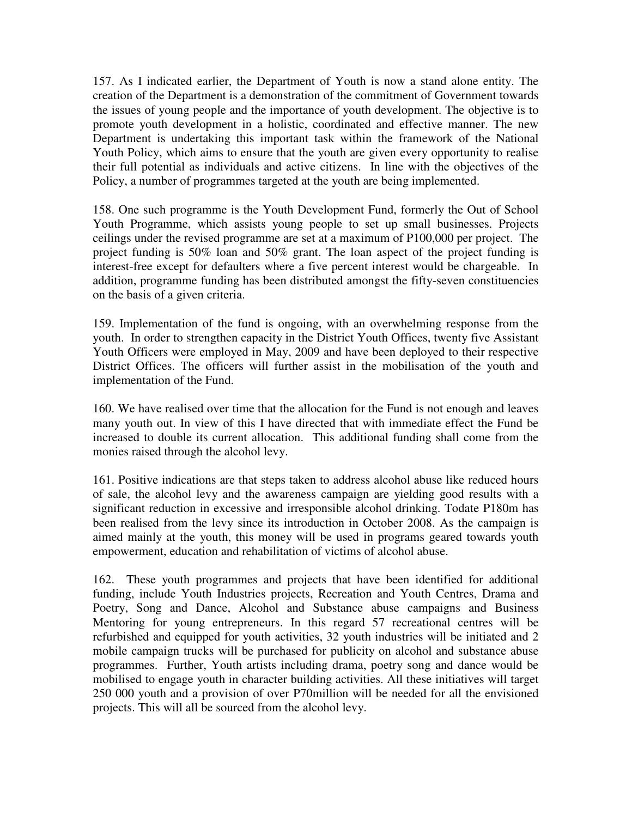157. As I indicated earlier, the Department of Youth is now a stand alone entity. The creation of the Department is a demonstration of the commitment of Government towards the issues of young people and the importance of youth development. The objective is to promote youth development in a holistic, coordinated and effective manner. The new Department is undertaking this important task within the framework of the National Youth Policy, which aims to ensure that the youth are given every opportunity to realise their full potential as individuals and active citizens. In line with the objectives of the Policy, a number of programmes targeted at the youth are being implemented.

158. One such programme is the Youth Development Fund, formerly the Out of School Youth Programme, which assists young people to set up small businesses. Projects ceilings under the revised programme are set at a maximum of P100,000 per project. The project funding is 50% loan and 50% grant. The loan aspect of the project funding is interest-free except for defaulters where a five percent interest would be chargeable. In addition, programme funding has been distributed amongst the fifty-seven constituencies on the basis of a given criteria.

159. Implementation of the fund is ongoing, with an overwhelming response from the youth. In order to strengthen capacity in the District Youth Offices, twenty five Assistant Youth Officers were employed in May, 2009 and have been deployed to their respective District Offices. The officers will further assist in the mobilisation of the youth and implementation of the Fund.

160. We have realised over time that the allocation for the Fund is not enough and leaves many youth out. In view of this I have directed that with immediate effect the Fund be increased to double its current allocation. This additional funding shall come from the monies raised through the alcohol levy.

161. Positive indications are that steps taken to address alcohol abuse like reduced hours of sale, the alcohol levy and the awareness campaign are yielding good results with a significant reduction in excessive and irresponsible alcohol drinking. Todate P180m has been realised from the levy since its introduction in October 2008. As the campaign is aimed mainly at the youth, this money will be used in programs geared towards youth empowerment, education and rehabilitation of victims of alcohol abuse.

162. These youth programmes and projects that have been identified for additional funding, include Youth Industries projects, Recreation and Youth Centres, Drama and Poetry, Song and Dance, Alcohol and Substance abuse campaigns and Business Mentoring for young entrepreneurs. In this regard 57 recreational centres will be refurbished and equipped for youth activities, 32 youth industries will be initiated and 2 mobile campaign trucks will be purchased for publicity on alcohol and substance abuse programmes. Further, Youth artists including drama, poetry song and dance would be mobilised to engage youth in character building activities. All these initiatives will target 250 000 youth and a provision of over P70million will be needed for all the envisioned projects. This will all be sourced from the alcohol levy.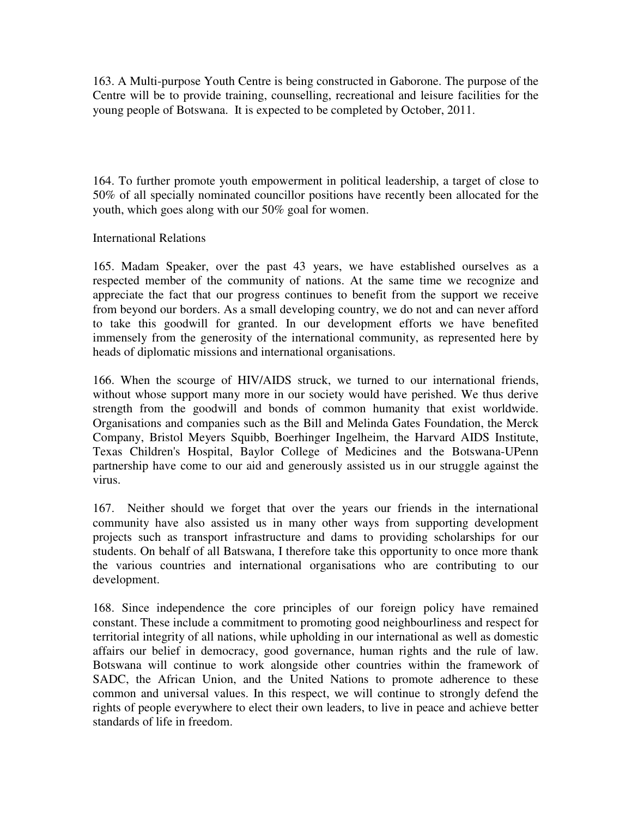163. A Multi-purpose Youth Centre is being constructed in Gaborone. The purpose of the Centre will be to provide training, counselling, recreational and leisure facilities for the young people of Botswana. It is expected to be completed by October, 2011.

164. To further promote youth empowerment in political leadership, a target of close to 50% of all specially nominated councillor positions have recently been allocated for the youth, which goes along with our 50% goal for women.

International Relations

165. Madam Speaker, over the past 43 years, we have established ourselves as a respected member of the community of nations. At the same time we recognize and appreciate the fact that our progress continues to benefit from the support we receive from beyond our borders. As a small developing country, we do not and can never afford to take this goodwill for granted. In our development efforts we have benefited immensely from the generosity of the international community, as represented here by heads of diplomatic missions and international organisations.

166. When the scourge of HIV/AIDS struck, we turned to our international friends, without whose support many more in our society would have perished. We thus derive strength from the goodwill and bonds of common humanity that exist worldwide. Organisations and companies such as the Bill and Melinda Gates Foundation, the Merck Company, Bristol Meyers Squibb, Boerhinger Ingelheim, the Harvard AIDS Institute, Texas Children's Hospital, Baylor College of Medicines and the Botswana-UPenn partnership have come to our aid and generously assisted us in our struggle against the virus.

167. Neither should we forget that over the years our friends in the international community have also assisted us in many other ways from supporting development projects such as transport infrastructure and dams to providing scholarships for our students. On behalf of all Batswana, I therefore take this opportunity to once more thank the various countries and international organisations who are contributing to our development.

168. Since independence the core principles of our foreign policy have remained constant. These include a commitment to promoting good neighbourliness and respect for territorial integrity of all nations, while upholding in our international as well as domestic affairs our belief in democracy, good governance, human rights and the rule of law. Botswana will continue to work alongside other countries within the framework of SADC, the African Union, and the United Nations to promote adherence to these common and universal values. In this respect, we will continue to strongly defend the rights of people everywhere to elect their own leaders, to live in peace and achieve better standards of life in freedom.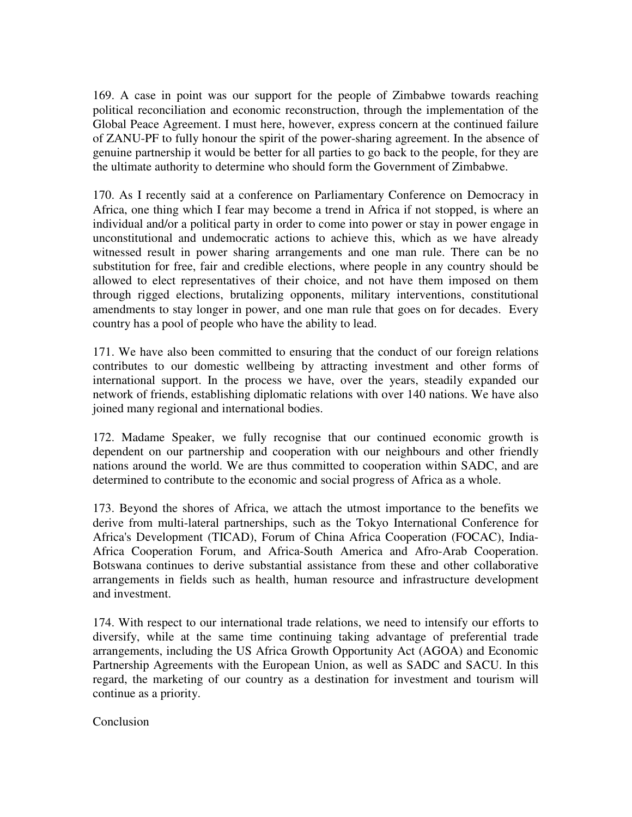169. A case in point was our support for the people of Zimbabwe towards reaching political reconciliation and economic reconstruction, through the implementation of the Global Peace Agreement. I must here, however, express concern at the continued failure of ZANU-PF to fully honour the spirit of the power-sharing agreement. In the absence of genuine partnership it would be better for all parties to go back to the people, for they are the ultimate authority to determine who should form the Government of Zimbabwe.

170. As I recently said at a conference on Parliamentary Conference on Democracy in Africa, one thing which I fear may become a trend in Africa if not stopped, is where an individual and/or a political party in order to come into power or stay in power engage in unconstitutional and undemocratic actions to achieve this, which as we have already witnessed result in power sharing arrangements and one man rule. There can be no substitution for free, fair and credible elections, where people in any country should be allowed to elect representatives of their choice, and not have them imposed on them through rigged elections, brutalizing opponents, military interventions, constitutional amendments to stay longer in power, and one man rule that goes on for decades. Every country has a pool of people who have the ability to lead.

171. We have also been committed to ensuring that the conduct of our foreign relations contributes to our domestic wellbeing by attracting investment and other forms of international support. In the process we have, over the years, steadily expanded our network of friends, establishing diplomatic relations with over 140 nations. We have also joined many regional and international bodies.

172. Madame Speaker, we fully recognise that our continued economic growth is dependent on our partnership and cooperation with our neighbours and other friendly nations around the world. We are thus committed to cooperation within SADC, and are determined to contribute to the economic and social progress of Africa as a whole.

173. Beyond the shores of Africa, we attach the utmost importance to the benefits we derive from multi-lateral partnerships, such as the Tokyo International Conference for Africa's Development (TICAD), Forum of China Africa Cooperation (FOCAC), India-Africa Cooperation Forum, and Africa-South America and Afro-Arab Cooperation. Botswana continues to derive substantial assistance from these and other collaborative arrangements in fields such as health, human resource and infrastructure development and investment.

174. With respect to our international trade relations, we need to intensify our efforts to diversify, while at the same time continuing taking advantage of preferential trade arrangements, including the US Africa Growth Opportunity Act (AGOA) and Economic Partnership Agreements with the European Union, as well as SADC and SACU. In this regard, the marketing of our country as a destination for investment and tourism will continue as a priority.

**Conclusion**